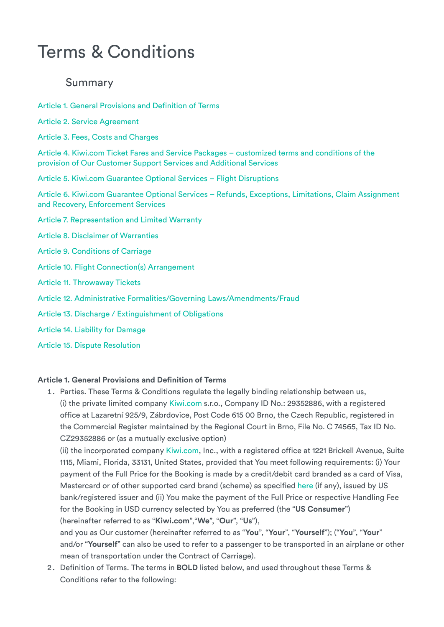# Terms & Conditions

## Summary

[Article 1. General Provisions and Definition of Terms](#page-0-0)

- [Article 2. Service Agreement](#page-4-0)
- [Article 3. Fees, Costs and Charges](#page-9-0)

[Article 4. Kiwi.com Ticket Fares and Service Packages – customized terms and conditions of the](#page-9-1) provision of Our Customer Support Services and Additional Services

[Article 5. Kiwi.com Guarantee Optional Services – Flight Disruptions](#page-17-0)

[Article 6. Kiwi.com Guarantee Optional Services – Refunds, Exceptions, Limitations, Claim Assignment](#page-21-0) and Recovery, Enforcement Services

- [Article 7. Representation and Limited Warranty](#page-24-0)
- [Article 8. Disclaimer of Warranties](#page-24-1)
- [Article 9. Conditions of Carriage](#page-25-0)
- [Article 10. Flight Connection\(s\) Arrangement](#page-25-1)
- [Article 11. Throwaway Tickets](#page-25-2)
- [Article 12. Administrative Formalities/Governing Laws/Amendments/Fraud](#page-26-0)
- [Article 13. Discharge / Extinguishment of Obligations](#page-27-0)
- [Article 14. Liability for Damage](#page-27-1)
- [Article 15. Dispute Resolution](#page-27-2)

#### <span id="page-0-0"></span>**Article 1. General Provisions and Definition of Terms**

1. Parties. These Terms & Conditions regulate the legally binding relationship between us, (i) the private limited company [Kiwi.com](https://www.kiwi.com/en/) s.r.o., Company ID No.: 29352886, with a registered office at Lazaretní 925/9, Zábrdovice, Post Code 615 00 Brno, the Czech Republic, registered in the Commercial Register maintained by the Regional Court in Brno, File No. C 74565, Tax ID No. CZ29352886 or (as a mutually exclusive option)

(ii) the incorporated company [Kiwi.com](https://www.kiwi.com/en/), Inc., with a registered office at 1221 Brickell Avenue, Suite 1115, Miami, Florida, 33131, United States, provided that You meet following requirements: (i) Your payment of the Full Price for the Booking is made by a credit/debit card branded as a card of Visa, Mastercard or of other supported card brand (scheme) as specified [here](https://assets.kiwi.com/m/1a512add749956cc/original/Kiwi.com-Inc-_Supported-Card-Schemes_US-processing.pdf) (if any), issued by US bank/registered issuer and (ii) You make the payment of the Full Price or respective Handling Fee for the Booking in USD currency selected by You as preferred (the "**US Consumer**") (hereinafter referred to as "**Kiwi.com**","**We**", "**Our**", "**Us**"),

and you as Our customer (hereinafter referred to as "**You**", "**Your**", "**Yourself**"); ("**You**", "**Your**" and/or "**Yourself**" can also be used to refer to a passenger to be transported in an airplane or other mean of transportation under the Contract of Carriage).

2. Definition of Terms. The terms in **BOLD** listed below, and used throughout these Terms & Conditions refer to the following: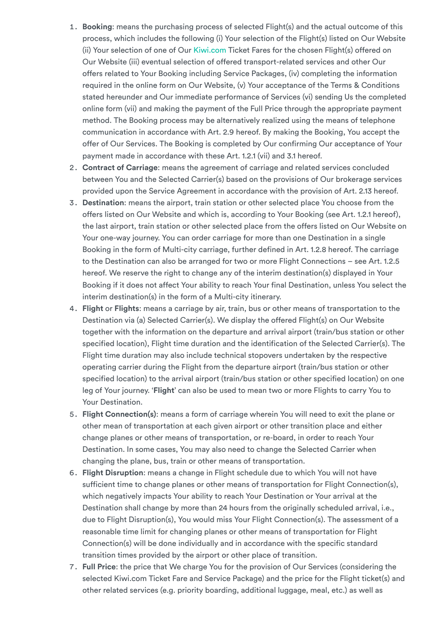- 1. **Booking**: means the purchasing process of selected Flight(s) and the actual outcome of this process, which includes the following (i) Your selection of the Flight(s) listed on Our Website (ii) Your selection of one of Our [Kiwi.com](https://www.kiwi.com/en/) Ticket Fares for the chosen Flight(s) offered on Our Website (iii) eventual selection of offered transport-related services and other Our offers related to Your Booking including Service Packages, (iv) completing the information required in the online form on Our Website, (v) Your acceptance of the Terms & Conditions stated hereunder and Our immediate performance of Services (vi) sending Us the completed online form (vii) and making the payment of the Full Price through the appropriate payment method. The Booking process may be alternatively realized using the means of telephone communication in accordance with Art. 2.9 hereof. By making the Booking, You accept the offer of Our Services. The Booking is completed by Our confirming Our acceptance of Your payment made in accordance with these Art. 1.2.1 (vii) and 3.1 hereof.
- 2. **Contract of Carriage**: means the agreement of carriage and related services concluded between You and the Selected Carrier(s) based on the provisions of Our brokerage services provided upon the Service Agreement in accordance with the provision of Art. 2.13 hereof.
- 3. **Destination**: means the airport, train station or other selected place You choose from the offers listed on Our Website and which is, according to Your Booking (see Art. 1.2.1 hereof), the last airport, train station or other selected place from the offers listed on Our Website on Your one-way journey. You can order carriage for more than one Destination in a single Booking in the form of Multi-city carriage, further defined in Art. 1.2.8 hereof. The carriage to the Destination can also be arranged for two or more Flight Connections – see Art. 1.2.5 hereof. We reserve the right to change any of the interim destination(s) displayed in Your Booking if it does not affect Your ability to reach Your final Destination, unless You select the interim destination(s) in the form of a Multi-city itinerary.
- 4. **Flight** or **Flights**: means a carriage by air, train, bus or other means of transportation to the Destination via (a) Selected Carrier(s). We display the offered Flight(s) on Our Website together with the information on the departure and arrival airport (train/bus station or other specified location), Flight time duration and the identification of the Selected Carrier(s). The Flight time duration may also include technical stopovers undertaken by the respective operating carrier during the Flight from the departure airport (train/bus station or other specified location) to the arrival airport (train/bus station or other specified location) on one leg of Your journey. '**Flight**' can also be used to mean two or more Flights to carry You to Your Destination.
- 5. **Flight Connection(s)**: means a form of carriage wherein You will need to exit the plane or other mean of transportation at each given airport or other transition place and either change planes or other means of transportation, or re-board, in order to reach Your Destination. In some cases, You may also need to change the Selected Carrier when changing the plane, bus, train or other means of transportation.
- 6. **Flight Disruption**: means a change in Flight schedule due to which You will not have sufficient time to change planes or other means of transportation for Flight Connection(s), which negatively impacts Your ability to reach Your Destination or Your arrival at the Destination shall change by more than 24 hours from the originally scheduled arrival, i.e., due to Flight Disruption(s), You would miss Your Flight Connection(s). The assessment of a reasonable time limit for changing planes or other means of transportation for Flight Connection(s) will be done individually and in accordance with the specific standard transition times provided by the airport or other place of transition.
- 7. **Full Price**: the price that We charge You for the provision of Our Services (considering the selected Kiwi.com Ticket Fare and Service Package) and the price for the Flight ticket(s) and other related services (e.g. priority boarding, additional luggage, meal, etc.) as well as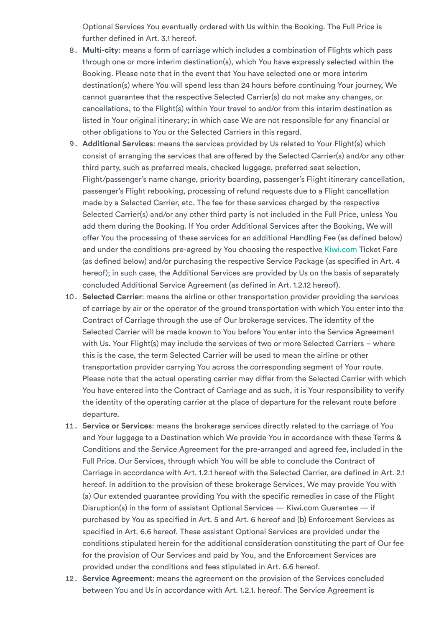Optional Services You eventually ordered with Us within the Booking. The Full Price is further defined in Art. 3.1 hereof.

- 8. **Multi-city**: means a form of carriage which includes a combination of Flights which pass through one or more interim destination(s), which You have expressly selected within the Booking. Please note that in the event that You have selected one or more interim destination(s) where You will spend less than 24 hours before continuing Your journey, We cannot guarantee that the respective Selected Carrier(s) do not make any changes, or cancellations, to the Flight(s) within Your travel to and/or from this interim destination as listed in Your original itinerary; in which case We are not responsible for any financial or other obligations to You or the Selected Carriers in this regard.
- 9. **Additional Services**: means the services provided by Us related to Your Flight(s) which consist of arranging the services that are offered by the Selected Carrier(s) and/or any other third party, such as preferred meals, checked luggage, preferred seat selection, Flight/passenger's name change, priority boarding, passenger's Flight itinerary cancellation, passenger's Flight rebooking, processing of refund requests due to a Flight cancellation made by a Selected Carrier, etc. The fee for these services charged by the respective Selected Carrier(s) and/or any other third party is not included in the Full Price, unless You add them during the Booking. If You order Additional Services after the Booking, We will offer You the processing of these services for an additional Handling Fee (as defined below) and under the conditions pre-agreed by You choosing the respective [Kiwi.com](https://www.kiwi.com/en/) Ticket Fare (as defined below) and/or purchasing the respective Service Package (as specified in Art. 4 hereof); in such case, the Additional Services are provided by Us on the basis of separately concluded Additional Service Agreement (as defined in Art. 1.2.12 hereof).
- 10. **Selected Carrier**: means the airline or other transportation provider providing the services of carriage by air or the operator of the ground transportation with which You enter into the Contract of Carriage through the use of Our brokerage services. The identity of the Selected Carrier will be made known to You before You enter into the Service Agreement with Us. Your Flight(s) may include the services of two or more Selected Carriers – where this is the case, the term Selected Carrier will be used to mean the airline or other transportation provider carrying You across the corresponding segment of Your route. Please note that the actual operating carrier may differ from the Selected Carrier with which You have entered into the Contract of Carriage and as such, it is Your responsibility to verify the identity of the operating carrier at the place of departure for the relevant route before departure.
- 11. **Service or Services**: means the brokerage services directly related to the carriage of You and Your luggage to a Destination which We provide You in accordance with these Terms & Conditions and the Service Agreement for the pre-arranged and agreed fee, included in the Full Price. Our Services, through which You will be able to conclude the Contract of Carriage in accordance with Art. 1.2.1 hereof with the Selected Carrier, are defined in Art. 2.1 hereof. In addition to the provision of these brokerage Services, We may provide You with (a) Our extended guarantee providing You with the specific remedies in case of the Flight Disruption(s) in the form of assistant Optional Services — Kiwi.com Guarantee — if purchased by You as specified in Art. 5 and Art. 6 hereof and (b) Enforcement Services as specified in Art. 6.6 hereof. These assistant Optional Services are provided under the conditions stipulated herein for the additional consideration constituting the part of Our fee for the provision of Our Services and paid by You, and the Enforcement Services are provided under the conditions and fees stipulated in Art. 6.6 hereof.
- 12. **Service Agreement**: means the agreement on the provision of the Services concluded between You and Us in accordance with Art. 1.2.1. hereof. The Service Agreement is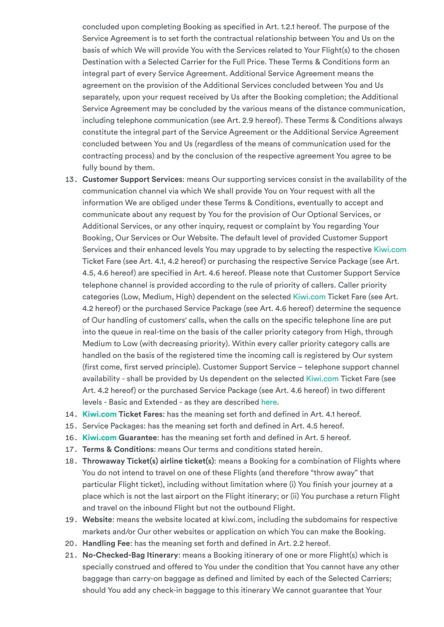concluded upon completing Booking as specified in Art. 1.2.1 hereof. The purpose of the Service Agreement is to set forth the contractual relationship between You and Us on the basis of which We will provide You with the Services related to Your Flight(s) to the chosen Destination with a Selected Carrier for the Full Price. These Terms & Conditions form an integral part of every Service Agreement. Additional Service Agreement means the agreement on the provision of the Additional Services concluded between You and Us separately, upon your request received by Us after the Booking completion; the Additional Service Agreement may be concluded by the various means of the distance communication, including telephone communication (see Art. 2.9 hereof). These Terms & Conditions always constitute the integral part of the Service Agreement or the Additional Service Agreement concluded between You and Us (regardless of the means of communication used for the contracting process) and by the conclusion of the respective agreement You agree to be fully bound by them.

- 13. **Customer Support Services**: means Our supporting services consist in the availability of the communication channel via which We shall provide You on Your request with all the information We are obliged under these Terms & Conditions, eventually to accept and communicate about any request by You for the provision of Our Optional Services, or Additional Services, or any other inquiry, request or complaint by You regarding Your Booking, Our Services or Our Website. The default level of provided Customer Support Services and their enhanced levels You may upgrade to by selecting the respective [Kiwi.com](https://www.kiwi.com/en/) Ticket Fare (see Art. 4.1, 4.2 hereof) or purchasing the respective Service Package (see Art. 4.5, 4.6 hereof) are specified in Art. 4.6 hereof. Please note that Customer Support Service telephone channel is provided according to the rule of priority of callers. Caller priority categories (Low, Medium, High) dependent on the selected [Kiwi.com](https://www.kiwi.com/en/) Ticket Fare (see Art. 4.2 hereof) or the purchased Service Package (see Art. 4.6 hereof) determine the sequence of Our handling of customers' calls, when the calls on the specific telephone line are put into the queue in real-time on the basis of the caller priority category from High, through Medium to Low (with decreasing priority). Within every caller priority category calls are handled on the basis of the registered time the incoming call is registered by Our system (first come, first served principle). Customer Support Service – telephone support channel availability - shall be provided by Us dependent on the selected [Kiwi.com](https://www.kiwi.com/en/) Ticket Fare (see Art. 4.2 hereof) or the purchased Service Package (see Art. 4.6 hereof) in two different levels - Basic and Extended - as they are described [here.](https://go.kiwi.com/CSavailability)
- 14. **[Kiwi.com](https://www.kiwi.com/en/) Ticket Fares**: has the meaning set forth and defined in Art. 4.1 hereof.
- 15. Service Packages: has the meaning set forth and defined in Art. 4.5 hereof.
- 16. **[Kiwi.com](https://www.kiwi.com/en/) Guarantee**: has the meaning set forth and defined in Art. 5 hereof.
- 17. **Terms & Conditions**: means Our terms and conditions stated herein.
- 18. **Throwaway Ticket(s) airline ticket(s)**: means a Booking for a combination of Flights where You do not intend to travel on one of these Flights (and therefore "throw away" that particular Flight ticket), including without limitation where (i) You finish your journey at a place which is not the last airport on the Flight itinerary; or (ii) You purchase a return Flight and travel on the inbound Flight but not the outbound Flight.
- 19. **Website**: means the website located at kiwi.com, including the subdomains for respective markets and/or Our other websites or application on which You can make the Booking.
- 20. **Handling Fee**: has the meaning set forth and defined in Art. 2.2 hereof.
- 21. **No-Checked-Bag Itinerary**: means a Booking itinerary of one or more Flight(s) which is specially construed and offered to You under the condition that You cannot have any other baggage than carry-on baggage as defined and limited by each of the Selected Carriers; should You add any check-in baggage to this itinerary We cannot guarantee that Your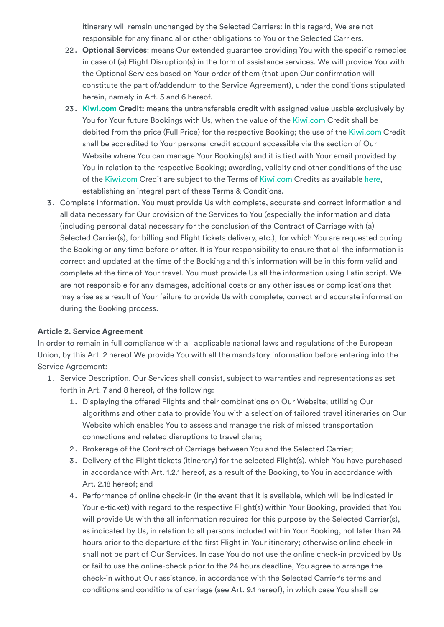itinerary will remain unchanged by the Selected Carriers: in this regard, We are not responsible for any financial or other obligations to You or the Selected Carriers.

- 22. **Optional Services**: means Our extended guarantee providing You with the specific remedies in case of (a) Flight Disruption(s) in the form of assistance services. We will provide You with the Optional Services based on Your order of them (that upon Our confirmation will constitute the part of/addendum to the Service Agreement), under the conditions stipulated herein, namely in Art. 5 and 6 hereof.
- 23. **[Kiwi.com](https://www.kiwi.com/en/) Credit:** means the untransferable credit with assigned value usable exclusively by You for Your future Bookings with Us, when the value of the [Kiwi.com](https://www.kiwi.com/en/) Credit shall be debited from the price (Full Price) for the respective Booking; the use of the [Kiwi.com](https://www.kiwi.com/en/) Credit shall be accredited to Your personal credit account accessible via the section of Our Website where You can manage Your Booking(s) and it is tied with Your email provided by You in relation to the respective Booking; awarding, validity and other conditions of the use of the [Kiwi.com](https://www.kiwi.com/en/) Credit are subject to the Terms of [Kiwi.com](https://www.kiwi.com/en/) Credits as available [here,](https://go.kiwi.com/AOvWL39Ru) establishing an integral part of these Terms & Conditions.
- 3. Complete Information. You must provide Us with complete, accurate and correct information and all data necessary for Our provision of the Services to You (especially the information and data (including personal data) necessary for the conclusion of the Contract of Carriage with (a) Selected Carrier(s), for billing and Flight tickets delivery, etc.), for which You are requested during the Booking or any time before or after. It is Your responsibility to ensure that all the information is correct and updated at the time of the Booking and this information will be in this form valid and complete at the time of Your travel. You must provide Us all the information using Latin script. We are not responsible for any damages, additional costs or any other issues or complications that may arise as a result of Your failure to provide Us with complete, correct and accurate information during the Booking process.

## <span id="page-4-0"></span>**Article 2. Service Agreement**

In order to remain in full compliance with all applicable national laws and regulations of the European Union, by this Art. 2 hereof We provide You with all the mandatory information before entering into the Service Agreement:

- 1. Service Description. Our Services shall consist, subject to warranties and representations as set forth in Art. 7 and 8 hereof, of the following:
	- 1. Displaying the offered Flights and their combinations on Our Website; utilizing Our algorithms and other data to provide You with a selection of tailored travel itineraries on Our Website which enables You to assess and manage the risk of missed transportation connections and related disruptions to travel plans;
	- 2. Brokerage of the Contract of Carriage between You and the Selected Carrier;
	- 3. Delivery of the Flight tickets (itinerary) for the selected Flight(s), which You have purchased in accordance with Art. 1.2.1 hereof, as a result of the Booking, to You in accordance with Art. 2.18 hereof; and
	- 4. Performance of online check-in (in the event that it is available, which will be indicated in Your e-ticket) with regard to the respective Flight(s) within Your Booking, provided that You will provide Us with the all information required for this purpose by the Selected Carrier(s), as indicated by Us, in relation to all persons included within Your Booking, not later than 24 hours prior to the departure of the first Flight in Your itinerary; otherwise online check-in shall not be part of Our Services. In case You do not use the online check-in provided by Us or fail to use the online-check prior to the 24 hours deadline, You agree to arrange the check-in without Our assistance, in accordance with the Selected Carrier's terms and conditions and conditions of carriage (see Art. 9.1 hereof), in which case You shall be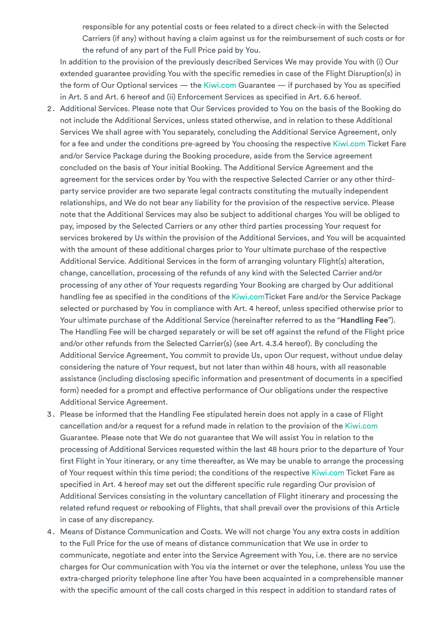responsible for any potential costs or fees related to a direct check-in with the Selected Carriers (if any) without having a claim against us for the reimbursement of such costs or for the refund of any part of the Full Price paid by You.

In addition to the provision of the previously described Services We may provide You with (i) Our extended guarantee providing You with the specific remedies in case of the Flight Disruption(s) in the form of Our Optional services — the [Kiwi.com](https://www.kiwi.com/en/) Guarantee — if purchased by You as specified in Art. 5 and Art. 6 hereof and (ii) Enforcement Services as specified in Art. 6.6 hereof.

- 2. Additional Services. Please note that Our Services provided to You on the basis of the Booking do not include the Additional Services, unless stated otherwise, and in relation to these Additional Services We shall agree with You separately, concluding the Additional Service Agreement, only for a fee and under the conditions pre-agreed by You choosing the respective [Kiwi.com](https://www.kiwi.com/en/) Ticket Fare and/or Service Package during the Booking procedure, aside from the Service agreement concluded on the basis of Your initial Booking. The Additional Service Agreement and the agreement for the services order by You with the respective Selected Carrier or any other thirdparty service provider are two separate legal contracts constituting the mutually independent relationships, and We do not bear any liability for the provision of the respective service. Please note that the Additional Services may also be subject to additional charges You will be obliged to pay, imposed by the Selected Carriers or any other third parties processing Your request for services brokered by Us within the provision of the Additional Services, and You will be acquainted with the amount of these additional charges prior to Your ultimate purchase of the respective Additional Service. Additional Services in the form of arranging voluntary Flight(s) alteration, change, cancellation, processing of the refunds of any kind with the Selected Carrier and/or processing of any other of Your requests regarding Your Booking are charged by Our additional handling fee as specified in the conditions of the [Kiwi.comT](https://www.kiwi.com/en/)icket Fare and/or the Service Package selected or purchased by You in compliance with Art. 4 hereof, unless specified otherwise prior to Your ultimate purchase of the Additional Service (hereinafter referred to as the "**Handling Fee**"). The Handling Fee will be charged separately or will be set off against the refund of the Flight price and/or other refunds from the Selected Carrier(s) (see Art. 4.3.4 hereof). By concluding the Additional Service Agreement, You commit to provide Us, upon Our request, without undue delay considering the nature of Your request, but not later than within 48 hours, with all reasonable assistance (including disclosing specific information and presentment of documents in a specified form) needed for a prompt and effective performance of Our obligations under the respective Additional Service Agreement.
- 3. Please be informed that the Handling Fee stipulated herein does not apply in a case of Flight cancellation and/or a request for a refund made in relation to the provision of the [Kiwi.com](https://www.kiwi.com/en/) Guarantee. Please note that We do not guarantee that We will assist You in relation to the processing of Additional Services requested within the last 48 hours prior to the departure of Your first Flight in Your itinerary, or any time thereafter, as We may be unable to arrange the processing of Your request within this time period; the conditions of the respective [Kiwi.com](https://www.kiwi.com/en/) Ticket Fare as specified in Art. 4 hereof may set out the different specific rule regarding Our provision of Additional Services consisting in the voluntary cancellation of Flight itinerary and processing the related refund request or rebooking of Flights, that shall prevail over the provisions of this Article in case of any discrepancy.
- 4. Means of Distance Communication and Costs. We will not charge You any extra costs in addition to the Full Price for the use of means of distance communication that We use in order to communicate, negotiate and enter into the Service Agreement with You, i.e. there are no service charges for Our communication with You via the internet or over the telephone, unless You use the extra-charged priority telephone line after You have been acquainted in a comprehensible manner with the specific amount of the call costs charged in this respect in addition to standard rates of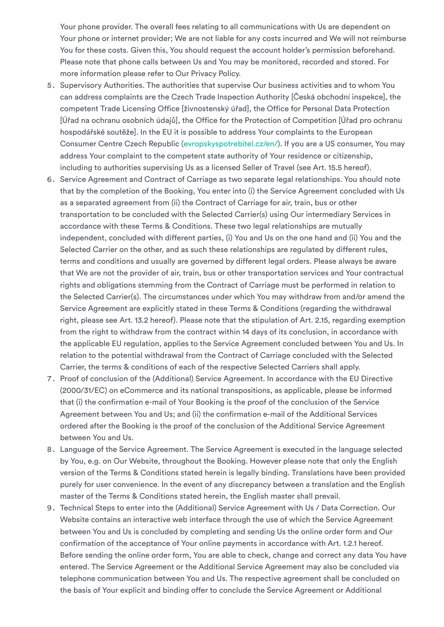Your phone provider. The overall fees relating to all communications with Us are dependent on Your phone or internet provider; We are not liable for any costs incurred and We will not reimburse You for these costs. Given this, You should request the account holder's permission beforehand. Please note that phone calls between Us and You may be monitored, recorded and stored. For more information please refer to Our Privacy Policy.

- 5. Supervisory Authorities. The authorities that supervise Our business activities and to whom You can address complaints are the Czech Trade Inspection Authority [Česká obchodní inspekce], the competent Trade Licensing Office [živnostenský úřad], the Office for Personal Data Protection [Úřad na ochranu osobních údajů], the Office for the Protection of Competition [Úřad pro ochranu hospodářské soutěže]. In the EU it is possible to address Your complaints to the European Consumer Centre Czech Republic [\(evropskyspotrebitel.cz/en/](https://www.evropskyspotrebitel.cz/en/)). If you are a US consumer, You may address Your complaint to the competent state authority of Your residence or citizenship, including to authorities supervising Us as a licensed Seller of Travel (see Art. 15.5 hereof).
- 6. Service Agreement and Contract of Carriage as two separate legal relationships. You should note that by the completion of the Booking, You enter into (i) the Service Agreement concluded with Us as a separated agreement from (ii) the Contract of Carriage for air, train, bus or other transportation to be concluded with the Selected Carrier(s) using Our intermediary Services in accordance with these Terms & Conditions. These two legal relationships are mutually independent, concluded with different parties, (i) You and Us on the one hand and (ii) You and the Selected Carrier on the other, and as such these relationships are regulated by different rules, terms and conditions and usually are governed by different legal orders. Please always be aware that We are not the provider of air, train, bus or other transportation services and Your contractual rights and obligations stemming from the Contract of Carriage must be performed in relation to the Selected Carrier(s). The circumstances under which You may withdraw from and/or amend the Service Agreement are explicitly stated in these Terms & Conditions (regarding the withdrawal right, please see Art. 13.2 hereof). Please note that the stipulation of Art. 2.15, regarding exemption from the right to withdraw from the contract within 14 days of its conclusion, in accordance with the applicable EU regulation, applies to the Service Agreement concluded between You and Us. In relation to the potential withdrawal from the Contract of Carriage concluded with the Selected Carrier, the terms & conditions of each of the respective Selected Carriers shall apply.
- 7. Proof of conclusion of the (Additional) Service Agreement. In accordance with the EU Directive (2000/31/EC) on eCommerce and its national transpositions, as applicable, please be informed that (i) the confirmation e-mail of Your Booking is the proof of the conclusion of the Service Agreement between You and Us; and (ii) the confirmation e-mail of the Additional Services ordered after the Booking is the proof of the conclusion of the Additional Service Agreement between You and Us.
- 8. Language of the Service Agreement. The Service Agreement is executed in the language selected by You, e.g. on Our Website, throughout the Booking. However please note that only the English version of the Terms & Conditions stated herein is legally binding. Translations have been provided purely for user convenience. In the event of any discrepancy between a translation and the English master of the Terms & Conditions stated herein, the English master shall prevail.
- 9. Technical Steps to enter into the (Additional) Service Agreement with Us / Data Correction. Our Website contains an interactive web interface through the use of which the Service Agreement between You and Us is concluded by completing and sending Us the online order form and Our confirmation of the acceptance of Your online payments in accordance with Art. 1.2.1 hereof. Before sending the online order form, You are able to check, change and correct any data You have entered. The Service Agreement or the Additional Service Agreement may also be concluded via telephone communication between You and Us. The respective agreement shall be concluded on the basis of Your explicit and binding offer to conclude the Service Agreement or Additional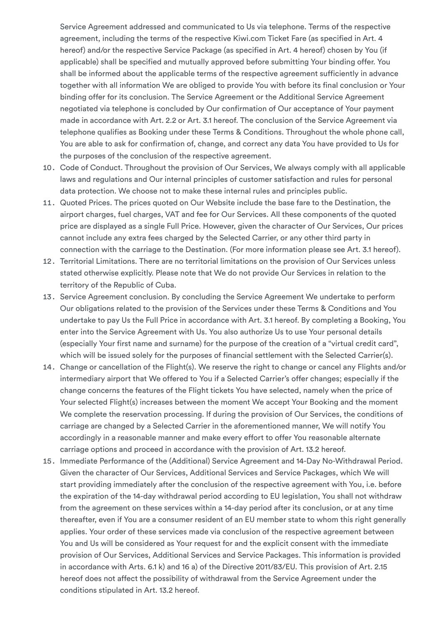Service Agreement addressed and communicated to Us via telephone. Terms of the respective agreement, including the terms of the respective Kiwi.com Ticket Fare (as specified in Art. 4 hereof) and/or the respective Service Package (as specified in Art. 4 hereof) chosen by You (if applicable) shall be specified and mutually approved before submitting Your binding offer. You shall be informed about the applicable terms of the respective agreement sufficiently in advance together with all information We are obliged to provide You with before its final conclusion or Your binding offer for its conclusion. The Service Agreement or the Additional Service Agreement negotiated via telephone is concluded by Our confirmation of Our acceptance of Your payment made in accordance with Art. 2.2 or Art. 3.1 hereof. The conclusion of the Service Agreement via telephone qualifies as Booking under these Terms & Conditions. Throughout the whole phone call, You are able to ask for confirmation of, change, and correct any data You have provided to Us for the purposes of the conclusion of the respective agreement.

- 10. Code of Conduct. Throughout the provision of Our Services, We always comply with all applicable laws and regulations and Our internal principles of customer satisfaction and rules for personal data protection. We choose not to make these internal rules and principles public.
- 11. Quoted Prices. The prices quoted on Our Website include the base fare to the Destination, the airport charges, fuel charges, VAT and fee for Our Services. All these components of the quoted price are displayed as a single Full Price. However, given the character of Our Services, Our prices cannot include any extra fees charged by the Selected Carrier, or any other third party in connection with the carriage to the Destination. (For more information please see Art. 3.1 hereof).
- 12. Territorial Limitations. There are no territorial limitations on the provision of Our Services unless stated otherwise explicitly. Please note that We do not provide Our Services in relation to the territory of the Republic of Cuba.
- 13. Service Agreement conclusion. By concluding the Service Agreement We undertake to perform Our obligations related to the provision of the Services under these Terms & Conditions and You undertake to pay Us the Full Price in accordance with Art. 3.1 hereof. By completing a Booking, You enter into the Service Agreement with Us. You also authorize Us to use Your personal details (especially Your first name and surname) for the purpose of the creation of a "virtual credit card", which will be issued solely for the purposes of financial settlement with the Selected Carrier(s).
- 14. Change or cancellation of the Flight(s). We reserve the right to change or cancel any Flights and/or intermediary airport that We offered to You if a Selected Carrier's offer changes; especially if the change concerns the features of the Flight tickets You have selected, namely when the price of Your selected Flight(s) increases between the moment We accept Your Booking and the moment We complete the reservation processing. If during the provision of Our Services, the conditions of carriage are changed by a Selected Carrier in the aforementioned manner, We will notify You accordingly in a reasonable manner and make every effort to offer You reasonable alternate carriage options and proceed in accordance with the provision of Art. 13.2 hereof.
- 15. Immediate Performance of the (Additional) Service Agreement and 14-Day No-Withdrawal Period. Given the character of Our Services, Additional Services and Service Packages, which We will start providing immediately after the conclusion of the respective agreement with You, i.e. before the expiration of the 14-day withdrawal period according to EU legislation, You shall not withdraw from the agreement on these services within a 14-day period after its conclusion, or at any time thereafter, even if You are a consumer resident of an EU member state to whom this right generally applies. Your order of these services made via conclusion of the respective agreement between You and Us will be considered as Your request for and the explicit consent with the immediate provision of Our Services, Additional Services and Service Packages. This information is provided in accordance with Arts. 6.1 k) and 16 a) of the Directive 2011/83/EU. This provision of Art. 2.15 hereof does not affect the possibility of withdrawal from the Service Agreement under the conditions stipulated in Art. 13.2 hereof.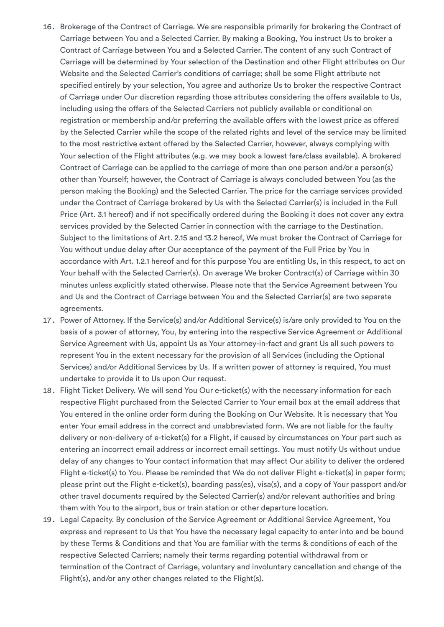- 16. Brokerage of the Contract of Carriage. We are responsible primarily for brokering the Contract of Carriage between You and a Selected Carrier. By making a Booking, You instruct Us to broker a Contract of Carriage between You and a Selected Carrier. The content of any such Contract of Carriage will be determined by Your selection of the Destination and other Flight attributes on Our Website and the Selected Carrier's conditions of carriage; shall be some Flight attribute not specified entirely by your selection, You agree and authorize Us to broker the respective Contract of Carriage under Our discretion regarding those attributes considering the offers available to Us, including using the offers of the Selected Carriers not publicly available or conditional on registration or membership and/or preferring the available offers with the lowest price as offered by the Selected Carrier while the scope of the related rights and level of the service may be limited to the most restrictive extent offered by the Selected Carrier, however, always complying with Your selection of the Flight attributes (e.g. we may book a lowest fare/class available). A brokered Contract of Carriage can be applied to the carriage of more than one person and/or a person(s) other than Yourself; however, the Contract of Carriage is always concluded between You (as the person making the Booking) and the Selected Carrier. The price for the carriage services provided under the Contract of Carriage brokered by Us with the Selected Carrier(s) is included in the Full Price (Art. 3.1 hereof) and if not specifically ordered during the Booking it does not cover any extra services provided by the Selected Carrier in connection with the carriage to the Destination. Subject to the limitations of Art. 2.15 and 13.2 hereof, We must broker the Contract of Carriage for You without undue delay after Our acceptance of the payment of the Full Price by You in accordance with Art. 1.2.1 hereof and for this purpose You are entitling Us, in this respect, to act on Your behalf with the Selected Carrier(s). On average We broker Contract(s) of Carriage within 30 minutes unless explicitly stated otherwise. Please note that the Service Agreement between You and Us and the Contract of Carriage between You and the Selected Carrier(s) are two separate agreements.
- 17. Power of Attorney. If the Service(s) and/or Additional Service(s) is/are only provided to You on the basis of a power of attorney, You, by entering into the respective Service Agreement or Additional Service Agreement with Us, appoint Us as Your attorney-in-fact and grant Us all such powers to represent You in the extent necessary for the provision of all Services (including the Optional Services) and/or Additional Services by Us. If a written power of attorney is required, You must undertake to provide it to Us upon Our request.
- 18. Flight Ticket Delivery. We will send You Our e-ticket(s) with the necessary information for each respective Flight purchased from the Selected Carrier to Your email box at the email address that You entered in the online order form during the Booking on Our Website. It is necessary that You enter Your email address in the correct and unabbreviated form. We are not liable for the faulty delivery or non-delivery of e-ticket(s) for a Flight, if caused by circumstances on Your part such as entering an incorrect email address or incorrect email settings. You must notify Us without undue delay of any changes to Your contact information that may affect Our ability to deliver the ordered Flight e-ticket(s) to You. Please be reminded that We do not deliver Flight e-ticket(s) in paper form; please print out the Flight e-ticket(s), boarding pass(es), visa(s), and a copy of Your passport and/or other travel documents required by the Selected Carrier(s) and/or relevant authorities and bring them with You to the airport, bus or train station or other departure location.
- 19. Legal Capacity. By conclusion of the Service Agreement or Additional Service Agreement, You express and represent to Us that You have the necessary legal capacity to enter into and be bound by these Terms & Conditions and that You are familiar with the terms & conditions of each of the respective Selected Carriers; namely their terms regarding potential withdrawal from or termination of the Contract of Carriage, voluntary and involuntary cancellation and change of the Flight(s), and/or any other changes related to the Flight(s).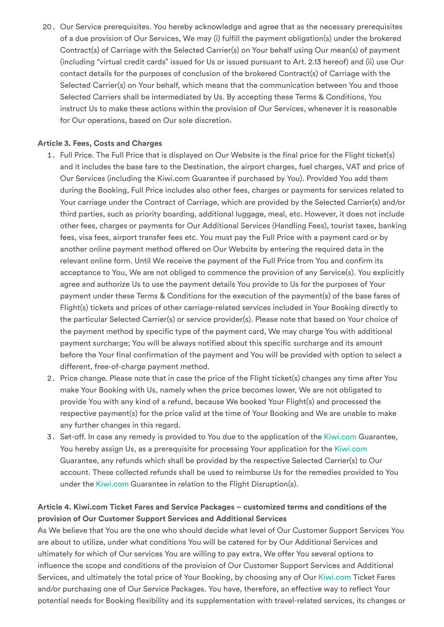20. Our Service prerequisites. You hereby acknowledge and agree that as the necessary prerequisites of a due provision of Our Services, We may (i) fulfill the payment obligation(s) under the brokered Contract(s) of Carriage with the Selected Carrier(s) on Your behalf using Our mean(s) of payment (including "virtual credit cards" issued for Us or issued pursuant to Art. 2.13 hereof) and (ii) use Our contact details for the purposes of conclusion of the brokered Contract(s) of Carriage with the Selected Carrier(s) on Your behalf, which means that the communication between You and those Selected Carriers shall be intermediated by Us. By accepting these Terms & Conditions, You instruct Us to make these actions within the provision of Our Services, whenever it is reasonable for Our operations, based on Our sole discretion.

## <span id="page-9-0"></span>**Article 3. Fees, Costs and Charges**

- 1. Full Price. The Full Price that is displayed on Our Website is the final price for the Flight ticket(s) and it includes the base fare to the Destination, the airport charges, fuel charges, VAT and price of Our Services (including the Kiwi.com Guarantee if purchased by You). Provided You add them during the Booking, Full Price includes also other fees, charges or payments for services related to Your carriage under the Contract of Carriage, which are provided by the Selected Carrier(s) and/or third parties, such as priority boarding, additional luggage, meal, etc. However, it does not include other fees, charges or payments for Our Additional Services (Handling Fees), tourist taxes, banking fees, visa fees, airport transfer fees etc. You must pay the Full Price with a payment card or by another online payment method offered on Our Website by entering the required data in the relevant online form. Until We receive the payment of the Full Price from You and confirm its acceptance to You, We are not obliged to commence the provision of any Service(s). You explicitly agree and authorize Us to use the payment details You provide to Us for the purposes of Your payment under these Terms & Conditions for the execution of the payment(s) of the base fares of Flight(s) tickets and prices of other carriage-related services included in Your Booking directly to the particular Selected Carrier(s) or service provider(s). Please note that based on Your choice of the payment method by specific type of the payment card, We may charge You with additional payment surcharge; You will be always notified about this specific surcharge and its amount before the Your final confirmation of the payment and You will be provided with option to select a different, free-of-charge payment method.
- 2. Price change. Please note that in case the price of the Flight ticket(s) changes any time after You make Your Booking with Us, namely when the price becomes lower, We are not obligated to provide You with any kind of a refund, because We booked Your Flight(s) and processed the respective payment(s) for the price valid at the time of Your Booking and We are unable to make any further changes in this regard.
- 3. Set-off. In case any remedy is provided to You due to the application of the [Kiwi.com](https://www.kiwi.com/en/) Guarantee, You hereby assign Us, as a prerequisite for processing Your application for the [Kiwi.com](https://www.kiwi.com/en/) Guarantee, any refunds which shall be provided by the respective Selected Carrier(s) to Our account. These collected refunds shall be used to reimburse Us for the remedies provided to You under the [Kiwi.com](https://www.kiwi.com/en/) Guarantee in relation to the Flight Disruption(s).

## <span id="page-9-1"></span>**Article 4. Kiwi.com Ticket Fares and Service Packages – customized terms and conditions of the provision of Our Customer Support Services and Additional Services**

As We believe that You are the one who should decide what level of Our Customer Support Services You are about to utilize, under what conditions You will be catered for by Our Additional Services and ultimately for which of Our services You are willing to pay extra, We offer You several options to influence the scope and conditions of the provision of Our Customer Support Services and Additional Services, and ultimately the total price of Your Booking, by choosing any of Our [Kiwi.com](https://www.kiwi.com/en/) Ticket Fares and/or purchasing one of Our Service Packages. You have, therefore, an effective way to reflect Your potential needs for Booking flexibility and its supplementation with travel-related services, its changes or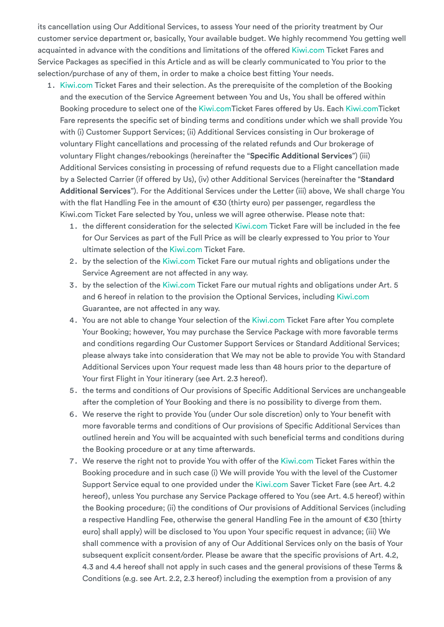its cancellation using Our Additional Services, to assess Your need of the priority treatment by Our customer service department or, basically, Your available budget. We highly recommend You getting well acquainted in advance with the conditions and limitations of the offered [Kiwi.com](https://www.kiwi.com/en/) Ticket Fares and Service Packages as specified in this Article and as will be clearly communicated to You prior to the selection/purchase of any of them, in order to make a choice best fitting Your needs.

- 1. [Kiwi.com](https://www.kiwi.com/en/) Ticket Fares and their selection. As the prerequisite of the completion of the Booking and the execution of the Service Agreement between You and Us, You shall be offered within Booking procedure to select one of the [Kiwi.com](https://www.kiwi.com/en/)Ticket Fares offered by Us. Each [Kiwi.com](https://www.kiwi.com/en/)Ticket Fare represents the specific set of binding terms and conditions under which we shall provide You with (i) Customer Support Services; (ii) Additional Services consisting in Our brokerage of voluntary Flight cancellations and processing of the related refunds and Our brokerage of voluntary Flight changes/rebookings (hereinafter the "**Specific Additional Services**") (iii) Additional Services consisting in processing of refund requests due to a Flight cancellation made by a Selected Carrier (if offered by Us), (iv) other Additional Services (hereinafter the "**Standard Additional Services**"). For the Additional Services under the Letter (iii) above, We shall charge You with the flat Handling Fee in the amount of €30 (thirty euro) per passenger, regardless the Kiwi.com Ticket Fare selected by You, unless we will agree otherwise. Please note that:
	- 1. the different consideration for the selected [Kiwi.com](https://www.kiwi.com/en/) Ticket Fare will be included in the fee for Our Services as part of the Full Price as will be clearly expressed to You prior to Your ultimate selection of the [Kiwi.com](https://www.kiwi.com/en/) Ticket Fare.
	- 2. by the selection of the [Kiwi.com](https://www.kiwi.com/en/) Ticket Fare our mutual rights and obligations under the Service Agreement are not affected in any way.
	- 3. by the selection of the [Kiwi.com](https://www.kiwi.com/en/) Ticket Fare our mutual rights and obligations under Art. 5 and 6 hereof in relation to the provision the Optional Services, including [Kiwi.com](https://www.kiwi.com/en/) Guarantee, are not affected in any way.
	- 4. You are not able to change Your selection of the [Kiwi.com](https://www.kiwi.com/en/) Ticket Fare after You complete Your Booking; however, You may purchase the Service Package with more favorable terms and conditions regarding Our Customer Support Services or Standard Additional Services; please always take into consideration that We may not be able to provide You with Standard Additional Services upon Your request made less than 48 hours prior to the departure of Your first Flight in Your itinerary (see Art. 2.3 hereof).
	- 5. the terms and conditions of Our provisions of Specific Additional Services are unchangeable after the completion of Your Booking and there is no possibility to diverge from them.
	- 6. We reserve the right to provide You (under Our sole discretion) only to Your benefit with more favorable terms and conditions of Our provisions of Specific Additional Services than outlined herein and You will be acquainted with such beneficial terms and conditions during the Booking procedure or at any time afterwards.
	- 7. We reserve the right not to provide You with offer of the [Kiwi.com](https://www.kiwi.com/en/) Ticket Fares within the Booking procedure and in such case (i) We will provide You with the level of the Customer Support Service equal to one provided under the [Kiwi.com](https://www.kiwi.com/en/) Saver Ticket Fare (see Art. 4.2 hereof), unless You purchase any Service Package offered to You (see Art. 4.5 hereof) within the Booking procedure; (ii) the conditions of Our provisions of Additional Services (including a respective Handling Fee, otherwise the general Handling Fee in the amount of €30 [thirty euro] shall apply) will be disclosed to You upon Your specific request in advance; (iii) We shall commence with a provision of any of Our Additional Services only on the basis of Your subsequent explicit consent/order. Please be aware that the specific provisions of Art. 4.2, 4.3 and 4.4 hereof shall not apply in such cases and the general provisions of these Terms & Conditions (e.g. see Art. 2.2, 2.3 hereof) including the exemption from a provision of any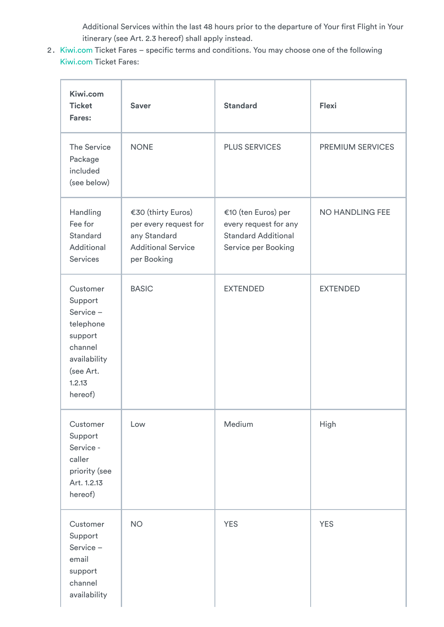Additional Services within the last 48 hours prior to the departure of Your first Flight in Your itinerary (see Art. 2.3 hereof) shall apply instead.

2. [Kiwi.com](https://www.kiwi.com/en/) Ticket Fares – specific terms and conditions. You may choose one of the following [Kiwi.com](https://www.kiwi.com/en/) Ticket Fares:

| Kiwi.com<br><b>Ticket</b><br>Fares:                                                                                  | <b>Saver</b>                                                                                            | <b>Standard</b>                                                                                   | <b>Flexi</b>            |
|----------------------------------------------------------------------------------------------------------------------|---------------------------------------------------------------------------------------------------------|---------------------------------------------------------------------------------------------------|-------------------------|
| <b>The Service</b><br>Package<br>included<br>(see below)                                                             | <b>NONE</b>                                                                                             | <b>PLUS SERVICES</b>                                                                              | <b>PREMIUM SERVICES</b> |
| Handling<br>Fee for<br>Standard<br>Additional<br><b>Services</b>                                                     | €30 (thirty Euros)<br>per every request for<br>any Standard<br><b>Additional Service</b><br>per Booking | €10 (ten Euros) per<br>every request for any<br><b>Standard Additional</b><br>Service per Booking | <b>NO HANDLING FEE</b>  |
| Customer<br>Support<br>Service-<br>telephone<br>support<br>channel<br>availability<br>(see Art.<br>1.2.13<br>hereof) | <b>BASIC</b>                                                                                            | <b>EXTENDED</b>                                                                                   | <b>EXTENDED</b>         |
| Customer<br>Support<br>Service -<br>caller<br>priority (see<br>Art. 1.2.13<br>hereof)                                | Low                                                                                                     | Medium                                                                                            | High                    |
| Customer<br>Support<br>Service-<br>email<br>support<br>channel<br>availability                                       | <b>NO</b>                                                                                               | <b>YES</b>                                                                                        | <b>YES</b>              |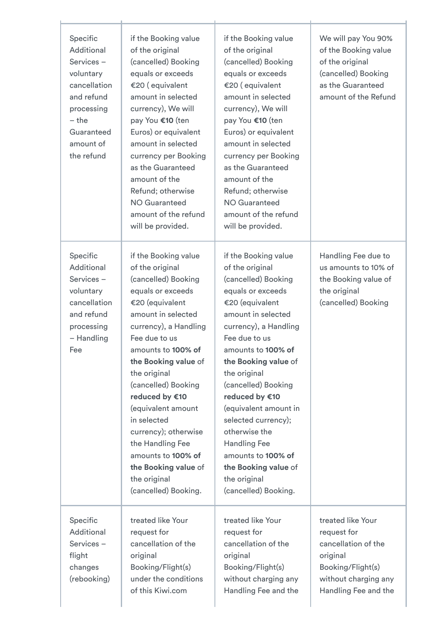| Specific<br>Additional<br>Services-<br>voluntary<br>cancellation<br>and refund<br>processing<br>$-$ the<br>Guaranteed<br>amount of<br>the refund | if the Booking value<br>of the original<br>(cancelled) Booking<br>equals or exceeds<br>€20 (equivalent<br>amount in selected<br>currency), We will<br>pay You €10 (ten<br>Euros) or equivalent<br>amount in selected<br>currency per Booking<br>as the Guaranteed<br>amount of the<br>Refund; otherwise<br><b>NO Guaranteed</b><br>amount of the refund<br>will be provided.                                                                         | if the Booking value<br>of the original<br>(cancelled) Booking<br>equals or exceeds<br>€20 (equivalent<br>amount in selected<br>currency), We will<br>pay You €10 (ten<br>Euros) or equivalent<br>amount in selected<br>currency per Booking<br>as the Guaranteed<br>amount of the<br>Refund; otherwise<br><b>NO Guaranteed</b><br>amount of the refund<br>will be provided.                                                                                | We will pay You 90%<br>of the Booking value<br>of the original<br>(cancelled) Booking<br>as the Guaranteed<br>amount of the Refund       |
|--------------------------------------------------------------------------------------------------------------------------------------------------|------------------------------------------------------------------------------------------------------------------------------------------------------------------------------------------------------------------------------------------------------------------------------------------------------------------------------------------------------------------------------------------------------------------------------------------------------|-------------------------------------------------------------------------------------------------------------------------------------------------------------------------------------------------------------------------------------------------------------------------------------------------------------------------------------------------------------------------------------------------------------------------------------------------------------|------------------------------------------------------------------------------------------------------------------------------------------|
| Specific<br>Additional<br>Services-<br>voluntary<br>cancellation<br>and refund<br>processing<br>- Handling<br>Fee                                | if the Booking value<br>of the original<br>(cancelled) Booking<br>equals or exceeds<br>€20 (equivalent<br>amount in selected<br>currency), a Handling<br>Fee due to us<br>amounts to 100% of<br>the Booking value of<br>the original<br>(cancelled) Booking<br>reduced by €10<br>(equivalent amount<br>in selected<br>currency); otherwise<br>the Handling Fee<br>amounts to 100% of<br>the Booking value of<br>the original<br>(cancelled) Booking. | if the Booking value<br>of the original<br>(cancelled) Booking<br>equals or exceeds<br>€20 (equivalent<br>amount in selected<br>currency), a Handling<br>Fee due to us<br>amounts to 100% of<br>the Booking value of<br>the original<br>(cancelled) Booking<br>reduced by €10<br>(equivalent amount in<br>selected currency);<br>otherwise the<br><b>Handling Fee</b><br>amounts to 100% of<br>the Booking value of<br>the original<br>(cancelled) Booking. | Handling Fee due to<br>us amounts to 10% of<br>the Booking value of<br>the original<br>(cancelled) Booking                               |
| Specific<br>Additional<br>Services-<br>flight<br>changes<br>(rebooking)                                                                          | treated like Your<br>request for<br>cancellation of the<br>original<br>Booking/Flight(s)<br>under the conditions<br>of this Kiwi.com                                                                                                                                                                                                                                                                                                                 | treated like Your<br>request for<br>cancellation of the<br>original<br>Booking/Flight(s)<br>without charging any<br>Handling Fee and the                                                                                                                                                                                                                                                                                                                    | treated like Your<br>request for<br>cancellation of the<br>original<br>Booking/Flight(s)<br>without charging any<br>Handling Fee and the |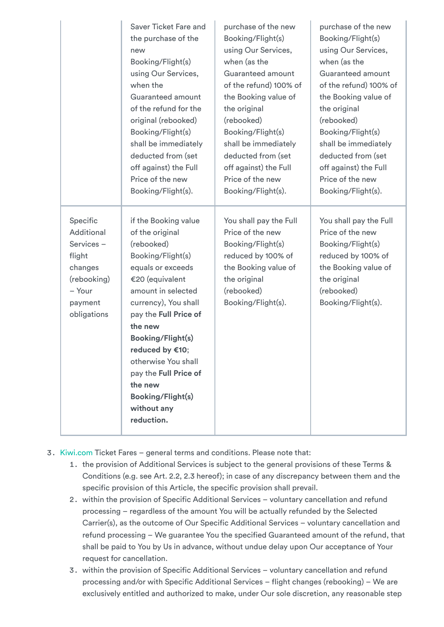|                                                                                                             | Saver Ticket Fare and                                                                                                                                                                                                                                                                                                                                                   | purchase of the new                                                                                                                                               | purchase of the new                                                                                                                                               |
|-------------------------------------------------------------------------------------------------------------|-------------------------------------------------------------------------------------------------------------------------------------------------------------------------------------------------------------------------------------------------------------------------------------------------------------------------------------------------------------------------|-------------------------------------------------------------------------------------------------------------------------------------------------------------------|-------------------------------------------------------------------------------------------------------------------------------------------------------------------|
|                                                                                                             | the purchase of the                                                                                                                                                                                                                                                                                                                                                     | Booking/Flight(s)                                                                                                                                                 | Booking/Flight(s)                                                                                                                                                 |
|                                                                                                             | new                                                                                                                                                                                                                                                                                                                                                                     | using Our Services,                                                                                                                                               | using Our Services,                                                                                                                                               |
|                                                                                                             | Booking/Flight(s)                                                                                                                                                                                                                                                                                                                                                       | when (as the                                                                                                                                                      | when (as the                                                                                                                                                      |
|                                                                                                             | using Our Services,                                                                                                                                                                                                                                                                                                                                                     | Guaranteed amount                                                                                                                                                 | Guaranteed amount                                                                                                                                                 |
|                                                                                                             | when the                                                                                                                                                                                                                                                                                                                                                                | of the refund) 100% of                                                                                                                                            | of the refund) 100% of                                                                                                                                            |
|                                                                                                             | Guaranteed amount                                                                                                                                                                                                                                                                                                                                                       | the Booking value of                                                                                                                                              | the Booking value of                                                                                                                                              |
|                                                                                                             | of the refund for the                                                                                                                                                                                                                                                                                                                                                   | the original                                                                                                                                                      | the original                                                                                                                                                      |
|                                                                                                             | original (rebooked)                                                                                                                                                                                                                                                                                                                                                     | (rebooked)                                                                                                                                                        | (rebooked)                                                                                                                                                        |
|                                                                                                             | Booking/Flight(s)                                                                                                                                                                                                                                                                                                                                                       | Booking/Flight(s)                                                                                                                                                 | Booking/Flight(s)                                                                                                                                                 |
|                                                                                                             | shall be immediately                                                                                                                                                                                                                                                                                                                                                    | shall be immediately                                                                                                                                              | shall be immediately                                                                                                                                              |
|                                                                                                             | deducted from (set                                                                                                                                                                                                                                                                                                                                                      | deducted from (set                                                                                                                                                | deducted from (set                                                                                                                                                |
|                                                                                                             | off against) the Full                                                                                                                                                                                                                                                                                                                                                   | off against) the Full                                                                                                                                             | off against) the Full                                                                                                                                             |
|                                                                                                             | Price of the new                                                                                                                                                                                                                                                                                                                                                        | Price of the new                                                                                                                                                  | Price of the new                                                                                                                                                  |
|                                                                                                             | Booking/Flight(s).                                                                                                                                                                                                                                                                                                                                                      | Booking/Flight(s).                                                                                                                                                | Booking/Flight(s).                                                                                                                                                |
| Specific<br>Additional<br>Services-<br>flight<br>changes<br>(rebooking)<br>- Your<br>payment<br>obligations | if the Booking value<br>of the original<br>(rebooked)<br>Booking/Flight(s)<br>equals or exceeds<br>€20 (equivalent<br>amount in selected<br>currency), You shall<br>pay the Full Price of<br>the new<br><b>Booking/Flight(s)</b><br>reduced by €10;<br>otherwise You shall<br>pay the Full Price of<br>the new<br><b>Booking/Flight(s)</b><br>without any<br>reduction. | You shall pay the Full<br>Price of the new<br>Booking/Flight(s)<br>reduced by 100% of<br>the Booking value of<br>the original<br>(rebooked)<br>Booking/Flight(s). | You shall pay the Full<br>Price of the new<br>Booking/Flight(s)<br>reduced by 100% of<br>the Booking value of<br>the original<br>(rebooked)<br>Booking/Flight(s). |

- 3. [Kiwi.com](https://www.kiwi.com/en/) Ticket Fares general terms and conditions. Please note that:
	- 1. the provision of Additional Services is subject to the general provisions of these Terms & Conditions (e.g. see Art. 2.2, 2.3 hereof); in case of any discrepancy between them and the specific provision of this Article, the specific provision shall prevail.
	- 2. within the provision of Specific Additional Services voluntary cancellation and refund processing – regardless of the amount You will be actually refunded by the Selected Carrier(s), as the outcome of Our Specific Additional Services – voluntary cancellation and refund processing – We guarantee You the specified Guaranteed amount of the refund, that shall be paid to You by Us in advance, without undue delay upon Our acceptance of Your request for cancellation.
	- 3. within the provision of Specific Additional Services voluntary cancellation and refund processing and/or with Specific Additional Services – flight changes (rebooking) – We are exclusively entitled and authorized to make, under Our sole discretion, any reasonable step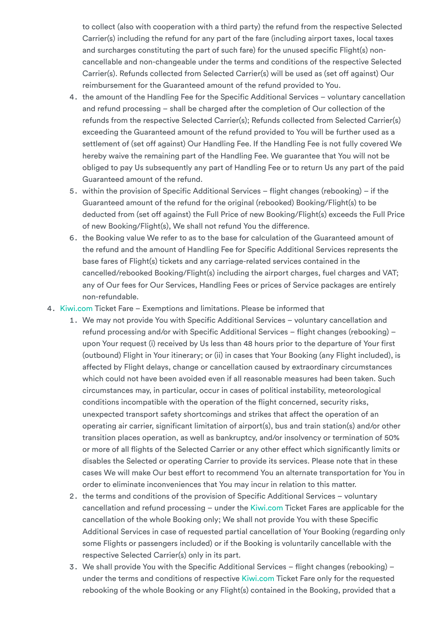to collect (also with cooperation with a third party) the refund from the respective Selected Carrier(s) including the refund for any part of the fare (including airport taxes, local taxes and surcharges constituting the part of such fare) for the unused specific Flight(s) noncancellable and non-changeable under the terms and conditions of the respective Selected Carrier(s). Refunds collected from Selected Carrier(s) will be used as (set off against) Our reimbursement for the Guaranteed amount of the refund provided to You.

- 4. the amount of the Handling Fee for the Specific Additional Services voluntary cancellation and refund processing – shall be charged after the completion of Our collection of the refunds from the respective Selected Carrier(s); Refunds collected from Selected Carrier(s) exceeding the Guaranteed amount of the refund provided to You will be further used as a settlement of (set off against) Our Handling Fee. If the Handling Fee is not fully covered We hereby waive the remaining part of the Handling Fee. We guarantee that You will not be obliged to pay Us subsequently any part of Handling Fee or to return Us any part of the paid Guaranteed amount of the refund.
- 5. within the provision of Specific Additional Services flight changes (rebooking) if the Guaranteed amount of the refund for the original (rebooked) Booking/Flight(s) to be deducted from (set off against) the Full Price of new Booking/Flight(s) exceeds the Full Price of new Booking/Flight(s), We shall not refund You the difference.
- 6. the Booking value We refer to as to the base for calculation of the Guaranteed amount of the refund and the amount of Handling Fee for Specific Additional Services represents the base fares of Flight(s) tickets and any carriage-related services contained in the cancelled/rebooked Booking/Flight(s) including the airport charges, fuel charges and VAT; any of Our fees for Our Services, Handling Fees or prices of Service packages are entirely non-refundable.
- 4. [Kiwi.com](https://www.kiwi.com/en/) Ticket Fare Exemptions and limitations. Please be informed that
	- 1. We may not provide You with Specific Additional Services voluntary cancellation and refund processing and/or with Specific Additional Services – flight changes (rebooking) – upon Your request (i) received by Us less than 48 hours prior to the departure of Your first (outbound) Flight in Your itinerary; or (ii) in cases that Your Booking (any Flight included), is affected by Flight delays, change or cancellation caused by extraordinary circumstances which could not have been avoided even if all reasonable measures had been taken. Such circumstances may, in particular, occur in cases of political instability, meteorological conditions incompatible with the operation of the flight concerned, security risks, unexpected transport safety shortcomings and strikes that affect the operation of an operating air carrier, significant limitation of airport(s), bus and train station(s) and/or other transition places operation, as well as bankruptcy, and/or insolvency or termination of 50% or more of all flights of the Selected Carrier or any other effect which significantly limits or disables the Selected or operating Carrier to provide its services. Please note that in these cases We will make Our best effort to recommend You an alternate transportation for You in order to eliminate inconveniences that You may incur in relation to this matter.
	- 2. the terms and conditions of the provision of Specific Additional Services voluntary cancellation and refund processing – under the [Kiwi.com](https://www.kiwi.com/en/) Ticket Fares are applicable for the cancellation of the whole Booking only; We shall not provide You with these Specific Additional Services in case of requested partial cancellation of Your Booking (regarding only some Flights or passengers included) or if the Booking is voluntarily cancellable with the respective Selected Carrier(s) only in its part.
	- 3. We shall provide You with the Specific Additional Services flight changes (rebooking) under the terms and conditions of respective [Kiwi.com](https://www.kiwi.com/en/) Ticket Fare only for the requested rebooking of the whole Booking or any Flight(s) contained in the Booking, provided that a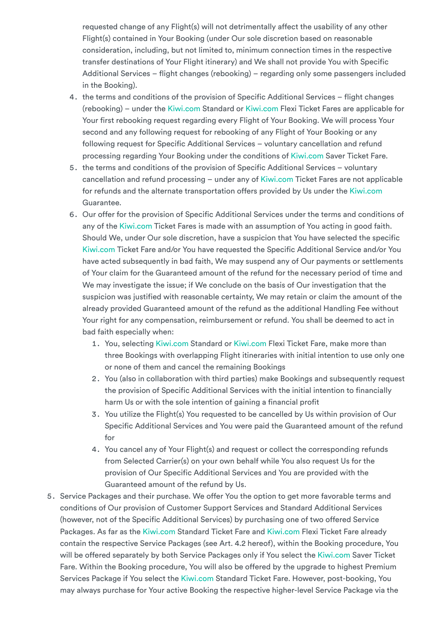requested change of any Flight(s) will not detrimentally affect the usability of any other Flight(s) contained in Your Booking (under Our sole discretion based on reasonable consideration, including, but not limited to, minimum connection times in the respective transfer destinations of Your Flight itinerary) and We shall not provide You with Specific Additional Services – flight changes (rebooking) – regarding only some passengers included in the Booking).

- 4. the terms and conditions of the provision of Specific Additional Services flight changes (rebooking) – under the [Kiwi.com](https://www.kiwi.com/en/) Standard or [Kiwi.com](https://www.kiwi.com/en/) Flexi Ticket Fares are applicable for Your first rebooking request regarding every Flight of Your Booking. We will process Your second and any following request for rebooking of any Flight of Your Booking or any following request for Specific Additional Services – voluntary cancellation and refund processing regarding Your Booking under the conditions of [Kiwi.com](https://www.kiwi.com/en/) Saver Ticket Fare.
- 5. the terms and conditions of the provision of Specific Additional Services voluntary cancellation and refund processing – under any of [Kiwi.com](https://www.kiwi.com/en/) Ticket Fares are not applicable for refunds and the alternate transportation offers provided by Us under the [Kiwi.com](https://www.kiwi.com/en/) Guarantee.
- 6. Our offer for the provision of Specific Additional Services under the terms and conditions of any of the [Kiwi.com](https://www.kiwi.com/en/) Ticket Fares is made with an assumption of You acting in good faith. Should We, under Our sole discretion, have a suspicion that You have selected the specific [Kiwi.com](https://www.kiwi.com/en/) Ticket Fare and/or You have requested the Specific Additional Service and/or You have acted subsequently in bad faith, We may suspend any of Our payments or settlements of Your claim for the Guaranteed amount of the refund for the necessary period of time and We may investigate the issue; if We conclude on the basis of Our investigation that the suspicion was justified with reasonable certainty, We may retain or claim the amount of the already provided Guaranteed amount of the refund as the additional Handling Fee without Your right for any compensation, reimbursement or refund. You shall be deemed to act in bad faith especially when:
	- 1. You, selecting [Kiwi.com](https://www.kiwi.com/en/) Standard or [Kiwi.com](https://www.kiwi.com/en/) Flexi Ticket Fare, make more than three Bookings with overlapping Flight itineraries with initial intention to use only one or none of them and cancel the remaining Bookings
	- 2. You (also in collaboration with third parties) make Bookings and subsequently request the provision of Specific Additional Services with the initial intention to financially harm Us or with the sole intention of gaining a financial profit
	- 3. You utilize the Flight(s) You requested to be cancelled by Us within provision of Our Specific Additional Services and You were paid the Guaranteed amount of the refund for
	- 4. You cancel any of Your Flight(s) and request or collect the corresponding refunds from Selected Carrier(s) on your own behalf while You also request Us for the provision of Our Specific Additional Services and You are provided with the Guaranteed amount of the refund by Us.
- 5. Service Packages and their purchase. We offer You the option to get more favorable terms and conditions of Our provision of Customer Support Services and Standard Additional Services (however, not of the Specific Additional Services) by purchasing one of two offered Service Packages. As far as the [Kiwi.com](https://www.kiwi.com/en/) Standard Ticket Fare and [Kiwi.com](https://www.kiwi.com/en/) Flexi Ticket Fare already contain the respective Service Packages (see Art. 4.2 hereof), within the Booking procedure, You will be offered separately by both Service Packages only if You select the [Kiwi.com](https://www.kiwi.com/en/) Saver Ticket Fare. Within the Booking procedure, You will also be offered by the upgrade to highest Premium Services Package if You select the [Kiwi.com](https://www.kiwi.com/en/) Standard Ticket Fare. However, post-booking, You may always purchase for Your active Booking the respective higher-level Service Package via the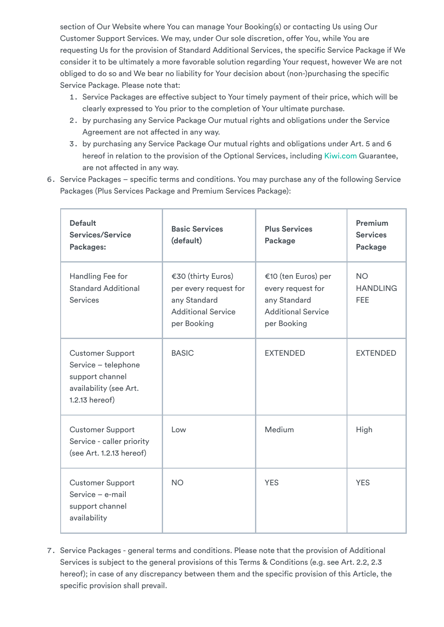section of Our Website where You can manage Your Booking(s) or contacting Us using Our Customer Support Services. We may, under Our sole discretion, offer You, while You are requesting Us for the provision of Standard Additional Services, the specific Service Package if We consider it to be ultimately a more favorable solution regarding Your request, however We are not obliged to do so and We bear no liability for Your decision about (non-)purchasing the specific Service Package. Please note that:

- 1. Service Packages are effective subject to Your timely payment of their price, which will be clearly expressed to You prior to the completion of Your ultimate purchase.
- 2. by purchasing any Service Package Our mutual rights and obligations under the Service Agreement are not affected in any way.
- 3. by purchasing any Service Package Our mutual rights and obligations under Art. 5 and 6 hereof in relation to the provision of the Optional Services, including [Kiwi.com](https://www.kiwi.com/en/) Guarantee, are not affected in any way.
- 6. Service Packages specific terms and conditions. You may purchase any of the following Service Packages (Plus Services Package and Premium Services Package):

| <b>Default</b><br><b>Services/Service</b><br>Packages:                                                        | <b>Basic Services</b><br>(default)                                                                      | <b>Plus Services</b><br>Package                                                                      | <b>Premium</b><br><b>Services</b><br>Package |
|---------------------------------------------------------------------------------------------------------------|---------------------------------------------------------------------------------------------------------|------------------------------------------------------------------------------------------------------|----------------------------------------------|
| Handling Fee for<br><b>Standard Additional</b><br><b>Services</b>                                             | €30 (thirty Euros)<br>per every request for<br>any Standard<br><b>Additional Service</b><br>per Booking | €10 (ten Euros) per<br>every request for<br>any Standard<br><b>Additional Service</b><br>per Booking | <b>NO</b><br><b>HANDLING</b><br><b>FEE</b>   |
| <b>Customer Support</b><br>Service - telephone<br>support channel<br>availability (see Art.<br>1.2.13 hereof) | <b>BASIC</b>                                                                                            | <b>EXTENDED</b>                                                                                      | <b>EXTENDED</b>                              |
| <b>Customer Support</b><br>Service - caller priority<br>(see Art. 1.2.13 hereof)                              | Low                                                                                                     | Medium                                                                                               | High                                         |
| <b>Customer Support</b><br>Service - e-mail<br>support channel<br>availability                                | <b>NO</b>                                                                                               | <b>YES</b>                                                                                           | <b>YES</b>                                   |

7. Service Packages - general terms and conditions. Please note that the provision of Additional Services is subject to the general provisions of this Terms & Conditions (e.g. see Art. 2.2, 2.3 hereof); in case of any discrepancy between them and the specific provision of this Article, the specific provision shall prevail.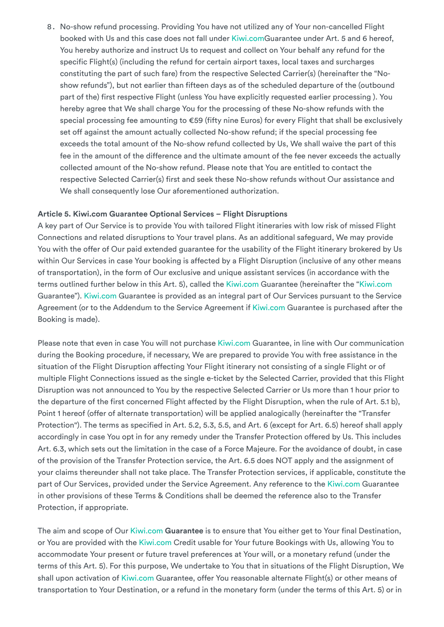8. No-show refund processing. Providing You have not utilized any of Your non-cancelled Flight booked with Us and this case does not fall under [Kiwi.com](https://www.kiwi.com/en/)Guarantee under Art. 5 and 6 hereof, You hereby authorize and instruct Us to request and collect on Your behalf any refund for the specific Flight(s) (including the refund for certain airport taxes, local taxes and surcharges constituting the part of such fare) from the respective Selected Carrier(s) (hereinafter the "Noshow refunds"), but not earlier than fifteen days as of the scheduled departure of the (outbound part of the) first respective Flight (unless You have explicitly requested earlier processing ). You hereby agree that We shall charge You for the processing of these No-show refunds with the special processing fee amounting to €59 (fifty nine Euros) for every Flight that shall be exclusively set off against the amount actually collected No-show refund; if the special processing fee exceeds the total amount of the No-show refund collected by Us, We shall waive the part of this fee in the amount of the difference and the ultimate amount of the fee never exceeds the actually collected amount of the No-show refund. Please note that You are entitled to contact the respective Selected Carrier(s) first and seek these No-show refunds without Our assistance and We shall consequently lose Our aforementioned authorization.

#### <span id="page-17-0"></span>**Article 5. Kiwi.com Guarantee Optional Services – Flight Disruptions**

A key part of Our Service is to provide You with tailored Flight itineraries with low risk of missed Flight Connections and related disruptions to Your travel plans. As an additional safeguard, We may provide You with the offer of Our paid extended guarantee for the usability of the Flight itinerary brokered by Us within Our Services in case Your booking is affected by a Flight Disruption (inclusive of any other means of transportation), in the form of Our exclusive and unique assistant services (in accordance with the terms outlined further below in this Art. 5), called the [Kiwi.com](https://www.kiwi.com/en/) Guarantee (hereinafter the "[Kiwi.com](https://www.kiwi.com/en/) Guarantee"). [Kiwi.com](https://www.kiwi.com/en/) Guarantee is provided as an integral part of Our Services pursuant to the Service Agreement (or to the Addendum to the Service Agreement if [Kiwi.com](https://www.kiwi.com/en/) Guarantee is purchased after the Booking is made).

Please note that even in case You will not purchase [Kiwi.com](https://www.kiwi.com/en/) Guarantee, in line with Our communication during the Booking procedure, if necessary, We are prepared to provide You with free assistance in the situation of the Flight Disruption affecting Your Flight itinerary not consisting of a single Flight or of multiple Flight Connections issued as the single e-ticket by the Selected Carrier, provided that this Flight Disruption was not announced to You by the respective Selected Carrier or Us more than 1 hour prior to the departure of the first concerned Flight affected by the Flight Disruption, when the rule of Art. 5.1 b), Point 1 hereof (offer of alternate transportation) will be applied analogically (hereinafter the "Transfer Protection"). The terms as specified in Art. 5.2, 5.3, 5.5, and Art. 6 (except for Art. 6.5) hereof shall apply accordingly in case You opt in for any remedy under the Transfer Protection offered by Us. This includes Art. 6.3, which sets out the limitation in the case of a Force Majeure. For the avoidance of doubt, in case of the provision of the Transfer Protection service, the Art. 6.5 does NOT apply and the assignment of your claims thereunder shall not take place. The Transfer Protection services, if applicable, constitute the part of Our Services, provided under the Service Agreement. Any reference to the [Kiwi.com](https://www.kiwi.com/en/) Guarantee in other provisions of these Terms & Conditions shall be deemed the reference also to the Transfer Protection, if appropriate.

The aim and scope of Our [Kiwi.com](https://www.kiwi.com/en/) **Guarantee** is to ensure that You either get to Your final Destination, or You are provided with the [Kiwi.com](https://www.kiwi.com/en/) Credit usable for Your future Bookings with Us, allowing You to accommodate Your present or future travel preferences at Your will, or a monetary refund (under the terms of this Art. 5). For this purpose, We undertake to You that in situations of the Flight Disruption, We shall upon activation of [Kiwi.com](https://www.kiwi.com/en/) Guarantee, offer You reasonable alternate Flight(s) or other means of transportation to Your Destination, or a refund in the monetary form (under the terms of this Art. 5) or in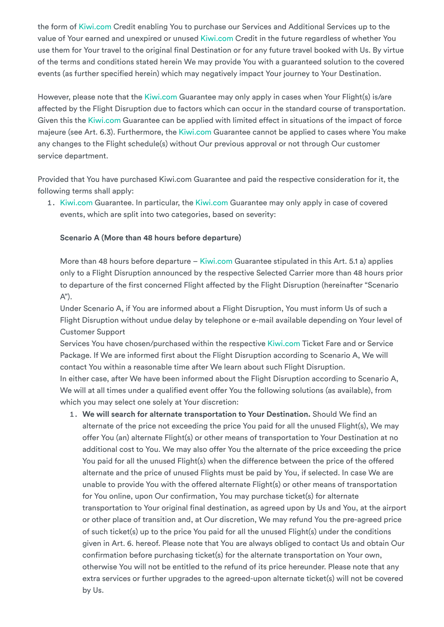the form of [Kiwi.com](https://www.kiwi.com/en/) Credit enabling You to purchase our Services and Additional Services up to the value of Your earned and unexpired or unused [Kiwi.com](https://www.kiwi.com/en/) Credit in the future regardless of whether You use them for Your travel to the original final Destination or for any future travel booked with Us. By virtue of the terms and conditions stated herein We may provide You with a guaranteed solution to the covered events (as further specified herein) which may negatively impact Your journey to Your Destination.

However, please note that the [Kiwi.com](https://www.kiwi.com/en/) Guarantee may only apply in cases when Your Flight(s) is/are affected by the Flight Disruption due to factors which can occur in the standard course of transportation. Given this the [Kiwi.com](https://www.kiwi.com/en/) Guarantee can be applied with limited effect in situations of the impact of force majeure (see Art. 6.3). Furthermore, the [Kiwi.com](https://www.kiwi.com/en/) Guarantee cannot be applied to cases where You make any changes to the Flight schedule(s) without Our previous approval or not through Our customer service department.

Provided that You have purchased Kiwi.com Guarantee and paid the respective consideration for it, the following terms shall apply:

1. [Kiwi.com](https://www.kiwi.com/en/) Guarantee. In particular, the [Kiwi.com](https://www.kiwi.com/en/) Guarantee may only apply in case of covered events, which are split into two categories, based on severity:

## **Scenario A (More than 48 hours before departure)**

More than 48 hours before departure – [Kiwi.com](https://www.kiwi.com/en/) Guarantee stipulated in this Art. 5.1 a) applies only to a Flight Disruption announced by the respective Selected Carrier more than 48 hours prior to departure of the first concerned Flight affected by the Flight Disruption (hereinafter "Scenario  $A$ ").

Under Scenario A, if You are informed about a Flight Disruption, You must inform Us of such a Flight Disruption without undue delay by telephone or e-mail available depending on Your level of Customer Support

Services You have chosen/purchased within the respective [Kiwi.com](https://www.kiwi.com/en/) Ticket Fare and or Service Package. If We are informed first about the Flight Disruption according to Scenario A, We will contact You within a reasonable time after We learn about such Flight Disruption. In either case, after We have been informed about the Flight Disruption according to Scenario A, We will at all times under a qualified event offer You the following solutions (as available), from which you may select one solely at Your discretion:

1. **We will search for alternate transportation to Your Destination.** Should We find an alternate of the price not exceeding the price You paid for all the unused Flight(s), We may offer You (an) alternate Flight(s) or other means of transportation to Your Destination at no additional cost to You. We may also offer You the alternate of the price exceeding the price You paid for all the unused Flight(s) when the difference between the price of the offered alternate and the price of unused Flights must be paid by You, if selected. In case We are unable to provide You with the offered alternate Flight(s) or other means of transportation for You online, upon Our confirmation, You may purchase ticket(s) for alternate transportation to Your original final destination, as agreed upon by Us and You, at the airport or other place of transition and, at Our discretion, We may refund You the pre-agreed price of such ticket(s) up to the price You paid for all the unused Flight(s) under the conditions given in Art. 6. hereof. Please note that You are always obliged to contact Us and obtain Our confirmation before purchasing ticket(s) for the alternate transportation on Your own, otherwise You will not be entitled to the refund of its price hereunder. Please note that any extra services or further upgrades to the agreed-upon alternate ticket(s) will not be covered by Us.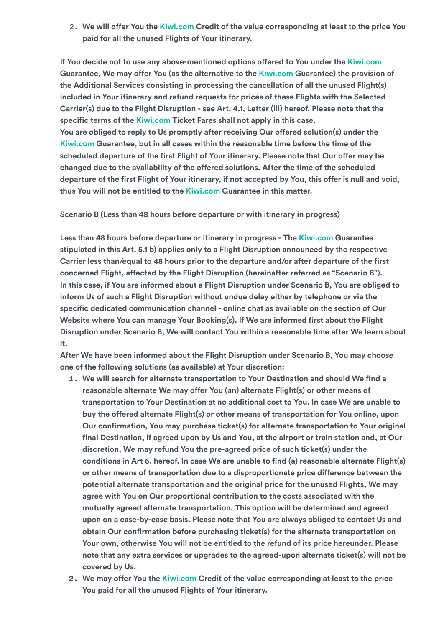2. **We will offer You the [Kiwi.com](https://www.kiwi.com/en/) Credit of the value corresponding at least to the price You paid for all the unused Flights of Your itinerary.**

**If You decide not to use any above-mentioned options offered to You under the [Kiwi.com](https://www.kiwi.com/en/) Guarantee, We may offer You (as the alternative to the [Kiwi.com](https://www.kiwi.com/en/) Guarantee) the provision of the Additional Services consisting in processing the cancellation of all the unused Flight(s) included in Your itinerary and refund requests for prices of these Flights with the Selected Carrier(s) due to the Flight Disruption - see Art. 4.1, Letter (iii) hereof. Please note that the specific terms of the [Kiwi.com](https://www.kiwi.com/en/) Ticket Fares shall not apply in this case. You are obliged to reply to Us promptly after receiving Our offered solution(s) under the [Kiwi.com](https://www.kiwi.com/en/) Guarantee, but in all cases within the reasonable time before the time of the scheduled departure of the first Flight of Your itinerary. Please note that Our offer may be changed due to the availability of the offered solutions. After the time of the scheduled departure of the first Flight of Your itinerary, if not accepted by You, this offer is null and void, thus You will not be entitled to the [Kiwi.com](https://www.kiwi.com/en/) Guarantee in this matter.**

**Scenario B (Less than 48 hours before departure or with itinerary in progress)**

**Less than 48 hours before departure or itinerary in progress - The [Kiwi.com](https://www.kiwi.com/en/) Guarantee stipulated in this Art. 5.1 b) applies only to a Flight Disruption announced by the respective Carrier less than/equal to 48 hours prior to the departure and/or after departure of the first concerned Flight, affected by the Flight Disruption (hereinafter referred as "Scenario B"). In this case, if You are informed about a Flight Disruption under Scenario B, You are obliged to inform Us of such a Flight Disruption without undue delay either by telephone or via the specific dedicated communication channel - online chat as available on the section of Our Website where You can manage Your Booking(s). If We are informed first about the Flight Disruption under Scenario B, We will contact You within a reasonable time after We learn about it.**

**After We have been informed about the Flight Disruption under Scenario B, You may choose one of the following solutions (as available) at Your discretion:**

- **1. We will search for alternate transportation to Your Destination and should We find a reasonable alternate We may offer You (an) alternate Flight(s) or other means of transportation to Your Destination at no additional cost to You. In case We are unable to buy the offered alternate Flight(s) or other means of transportation for You online, upon Our confirmation, You may purchase ticket(s) for alternate transportation to Your original final Destination, if agreed upon by Us and You, at the airport or train station and, at Our discretion, We may refund You the pre-agreed price of such ticket(s) under the conditions in Art 6. hereof. In case We are unable to find (a) reasonable alternate Flight(s) or other means of transportation due to a disproportionate price difference between the potential alternate transportation and the original price for the unused Flights, We may agree with You on Our proportional contribution to the costs associated with the mutually agreed alternate transportation. This option will be determined and agreed upon on a case-by-case basis. Please note that You are always obliged to contact Us and obtain Our confirmation before purchasing ticket(s) for the alternate transportation on Your own, otherwise You will not be entitled to the refund of its price hereunder. Please note that any extra services or upgrades to the agreed-upon alternate ticket(s) will not be covered by Us.**
- **2. We may offer You the [Kiwi.com](https://www.kiwi.com/en/) Credit of the value corresponding at least to the price You paid for all the unused Flights of Your itinerary.**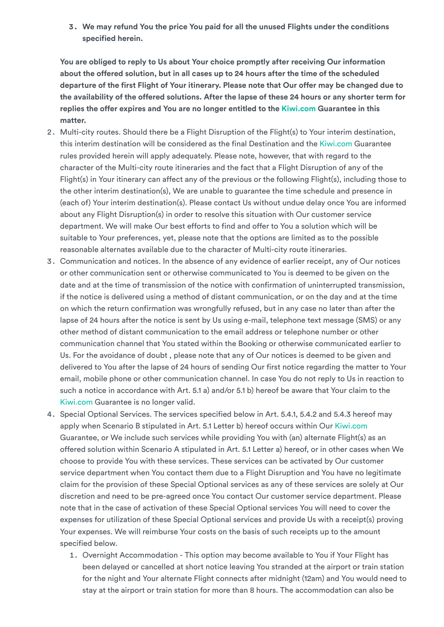**3. We may refund You the price You paid for all the unused Flights under the conditions specified herein.**

**You are obliged to reply to Us about Your choice promptly after receiving Our information about the offered solution, but in all cases up to 24 hours after the time of the scheduled departure of the first Flight of Your itinerary. Please note that Our offer may be changed due to** the availability of the offered solutions. After the lapse of these 24 hours or any shorter term for **replies the offer expires and You are no longer entitled to the [Kiwi.com](https://www.kiwi.com/en/) Guarantee in this matter.**

- 2. Multi-city routes. Should there be a Flight Disruption of the Flight(s) to Your interim destination, this interim destination will be considered as the final Destination and the [Kiwi.com](https://www.kiwi.com/en/) Guarantee rules provided herein will apply adequately. Please note, however, that with regard to the character of the Multi-city route itineraries and the fact that a Flight Disruption of any of the Flight(s) in Your itinerary can affect any of the previous or the following Flight(s), including those to the other interim destination(s), We are unable to guarantee the time schedule and presence in (each of) Your interim destination(s). Please contact Us without undue delay once You are informed about any Flight Disruption(s) in order to resolve this situation with Our customer service department. We will make Our best efforts to find and offer to You a solution which will be suitable to Your preferences, yet, please note that the options are limited as to the possible reasonable alternates available due to the character of Multi-city route itineraries.
- 3. Communication and notices. In the absence of any evidence of earlier receipt, any of Our notices or other communication sent or otherwise communicated to You is deemed to be given on the date and at the time of transmission of the notice with confirmation of uninterrupted transmission, if the notice is delivered using a method of distant communication, or on the day and at the time on which the return confirmation was wrongfully refused, but in any case no later than after the lapse of 24 hours after the notice is sent by Us using e-mail, telephone text message (SMS) or any other method of distant communication to the email address or telephone number or other communication channel that You stated within the Booking or otherwise communicated earlier to Us. For the avoidance of doubt , please note that any of Our notices is deemed to be given and delivered to You after the lapse of 24 hours of sending Our first notice regarding the matter to Your email, mobile phone or other communication channel. In case You do not reply to Us in reaction to such a notice in accordance with Art. 5.1 a) and/or 5.1 b) hereof be aware that Your claim to the [Kiwi.com](https://www.kiwi.com/en/) Guarantee is no longer valid.
- 4. Special Optional Services. The services specified below in Art. 5.4.1, 5.4.2 and 5.4.3 hereof may apply when Scenario B stipulated in Art. 5.1 Letter b) hereof occurs within Our [Kiwi.com](https://www.kiwi.com/en/) Guarantee, or We include such services while providing You with (an) alternate Flight(s) as an offered solution within Scenario A stipulated in Art. 5.1 Letter a) hereof, or in other cases when We choose to provide You with these services. These services can be activated by Our customer service department when You contact them due to a Flight Disruption and You have no legitimate claim for the provision of these Special Optional services as any of these services are solely at Our discretion and need to be pre-agreed once You contact Our customer service department. Please note that in the case of activation of these Special Optional services You will need to cover the expenses for utilization of these Special Optional services and provide Us with a receipt(s) proving Your expenses. We will reimburse Your costs on the basis of such receipts up to the amount specified below.
	- 1. Overnight Accommodation This option may become available to You if Your Flight has been delayed or cancelled at short notice leaving You stranded at the airport or train station for the night and Your alternate Flight connects after midnight (12am) and You would need to stay at the airport or train station for more than 8 hours. The accommodation can also be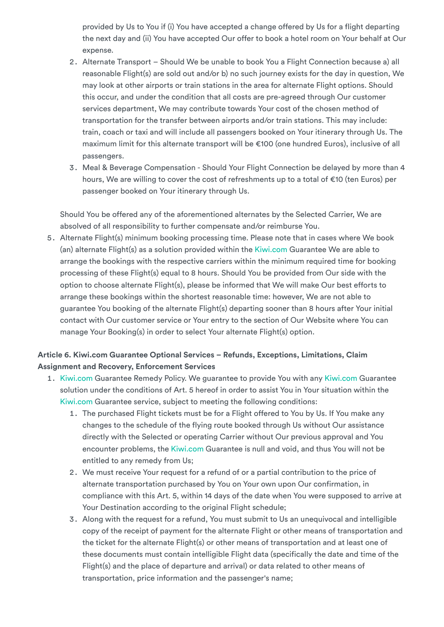provided by Us to You if (i) You have accepted a change offered by Us for a flight departing the next day and (ii) You have accepted Our offer to book a hotel room on Your behalf at Our expense.

- 2. Alternate Transport Should We be unable to book You a Flight Connection because a) all reasonable Flight(s) are sold out and/or b) no such journey exists for the day in question, We may look at other airports or train stations in the area for alternate Flight options. Should this occur, and under the condition that all costs are pre-agreed through Our customer services department, We may contribute towards Your cost of the chosen method of transportation for the transfer between airports and/or train stations. This may include: train, coach or taxi and will include all passengers booked on Your itinerary through Us. The maximum limit for this alternate transport will be €100 (one hundred Euros), inclusive of all passengers.
- 3. Meal & Beverage Compensation Should Your Flight Connection be delayed by more than 4 hours, We are willing to cover the cost of refreshments up to a total of €10 (ten Euros) per passenger booked on Your itinerary through Us.

Should You be offered any of the aforementioned alternates by the Selected Carrier, We are absolved of all responsibility to further compensate and/or reimburse You.

5. Alternate Flight(s) minimum booking processing time. Please note that in cases where We book (an) alternate Flight(s) as a solution provided within the [Kiwi.com](https://www.kiwi.com/en/) Guarantee We are able to arrange the bookings with the respective carriers within the minimum required time for booking processing of these Flight(s) equal to 8 hours. Should You be provided from Our side with the option to choose alternate Flight(s), please be informed that We will make Our best efforts to arrange these bookings within the shortest reasonable time: however, We are not able to guarantee You booking of the alternate Flight(s) departing sooner than 8 hours after Your initial contact with Our customer service or Your entry to the section of Our Website where You can manage Your Booking(s) in order to select Your alternate Flight(s) option.

## <span id="page-21-0"></span>**Article 6. Kiwi.com Guarantee Optional Services – Refunds, Exceptions, Limitations, Claim Assignment and Recovery, Enforcement Services**

- 1. [Kiwi.com](https://www.kiwi.com/en/) Guarantee Remedy Policy. We guarantee to provide You with any [Kiwi.com](https://www.kiwi.com/en/) Guarantee solution under the conditions of Art. 5 hereof in order to assist You in Your situation within the [Kiwi.com](https://www.kiwi.com/en/) Guarantee service, subject to meeting the following conditions:
	- 1. The purchased Flight tickets must be for a Flight offered to You by Us. If You make any changes to the schedule of the flying route booked through Us without Our assistance directly with the Selected or operating Carrier without Our previous approval and You encounter problems, the [Kiwi.com](https://www.kiwi.com/en/) Guarantee is null and void, and thus You will not be entitled to any remedy from Us;
	- 2. We must receive Your request for a refund of or a partial contribution to the price of alternate transportation purchased by You on Your own upon Our confirmation, in compliance with this Art. 5, within 14 days of the date when You were supposed to arrive at Your Destination according to the original Flight schedule;
	- 3. Along with the request for a refund, You must submit to Us an unequivocal and intelligible copy of the receipt of payment for the alternate Flight or other means of transportation and the ticket for the alternate Flight(s) or other means of transportation and at least one of these documents must contain intelligible Flight data (specifically the date and time of the Flight(s) and the place of departure and arrival) or data related to other means of transportation, price information and the passenger's name;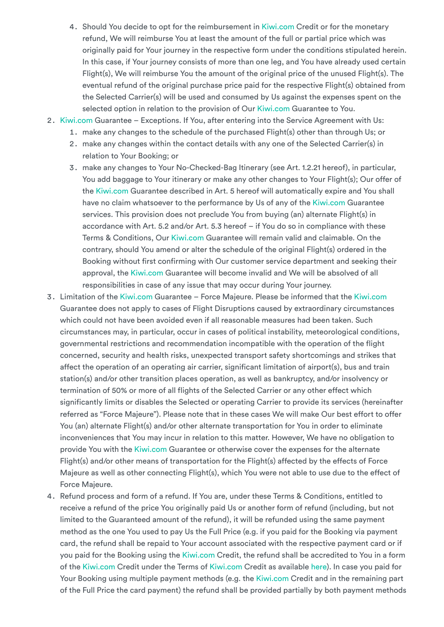- 4. Should You decide to opt for the reimbursement in [Kiwi.com](https://www.kiwi.com/en/) Credit or for the monetary refund, We will reimburse You at least the amount of the full or partial price which was originally paid for Your journey in the respective form under the conditions stipulated herein. In this case, if Your journey consists of more than one leg, and You have already used certain Flight(s), We will reimburse You the amount of the original price of the unused Flight(s). The eventual refund of the original purchase price paid for the respective Flight(s) obtained from the Selected Carrier(s) will be used and consumed by Us against the expenses spent on the selected option in relation to the provision of Our [Kiwi.com](https://www.kiwi.com/en/) Guarantee to You.
- 2. [Kiwi.com](https://www.kiwi.com/en/) Guarantee Exceptions. If You, after entering into the Service Agreement with Us:
	- 1. make any changes to the schedule of the purchased Flight(s) other than through Us; or
	- 2. make any changes within the contact details with any one of the Selected Carrier(s) in relation to Your Booking; or
	- 3. make any changes to Your No-Checked-Bag Itinerary (see Art. 1.2.21 hereof), in particular, You add baggage to Your itinerary or make any other changes to Your Flight(s); Our offer of the [Kiwi.com](https://www.kiwi.com/en/) Guarantee described in Art. 5 hereof will automatically expire and You shall have no claim whatsoever to the performance by Us of any of the [Kiwi.com](https://www.kiwi.com/en/) Guarantee services. This provision does not preclude You from buying (an) alternate Flight(s) in accordance with Art. 5.2 and/or Art. 5.3 hereof – if You do so in compliance with these Terms & Conditions, Our [Kiwi.com](https://www.kiwi.com/en/) Guarantee will remain valid and claimable. On the contrary, should You amend or alter the schedule of the original Flight(s) ordered in the Booking without first confirming with Our customer service department and seeking their approval, the [Kiwi.com](https://www.kiwi.com/en/) Guarantee will become invalid and We will be absolved of all responsibilities in case of any issue that may occur during Your journey.
- 3. Limitation of the [Kiwi.com](https://www.kiwi.com/en/) Guarantee Force Majeure. Please be informed that the [Kiwi.com](https://www.kiwi.com/en/) Guarantee does not apply to cases of Flight Disruptions caused by extraordinary circumstances which could not have been avoided even if all reasonable measures had been taken. Such circumstances may, in particular, occur in cases of political instability, meteorological conditions, governmental restrictions and recommendation incompatible with the operation of the flight concerned, security and health risks, unexpected transport safety shortcomings and strikes that affect the operation of an operating air carrier, significant limitation of airport(s), bus and train station(s) and/or other transition places operation, as well as bankruptcy, and/or insolvency or termination of 50% or more of all flights of the Selected Carrier or any other effect which significantly limits or disables the Selected or operating Carrier to provide its services (hereinafter referred as "Force Majeure"). Please note that in these cases We will make Our best effort to offer You (an) alternate Flight(s) and/or other alternate transportation for You in order to eliminate inconveniences that You may incur in relation to this matter. However, We have no obligation to provide You with the [Kiwi.com](https://www.kiwi.com/en/) Guarantee or otherwise cover the expenses for the alternate Flight(s) and/or other means of transportation for the Flight(s) affected by the effects of Force Majeure as well as other connecting Flight(s), which You were not able to use due to the effect of Force Majeure.
- 4. Refund process and form of a refund. If You are, under these Terms & Conditions, entitled to receive a refund of the price You originally paid Us or another form of refund (including, but not limited to the Guaranteed amount of the refund), it will be refunded using the same payment method as the one You used to pay Us the Full Price (e.g. if you paid for the Booking via payment card, the refund shall be repaid to Your account associated with the respective payment card or if you paid for the Booking using the [Kiwi.com](https://www.kiwi.com/en/) Credit, the refund shall be accredited to You in a form of the [Kiwi.com](https://www.kiwi.com/en/) Credit under the Terms of [Kiwi.com](https://www.kiwi.com/en/) Credit as available [here](https://go.kiwi.com/AOvWL39Ru)). In case you paid for Your Booking using multiple payment methods (e.g. the [Kiwi.com](https://www.kiwi.com/en/) Credit and in the remaining part of the Full Price the card payment) the refund shall be provided partially by both payment methods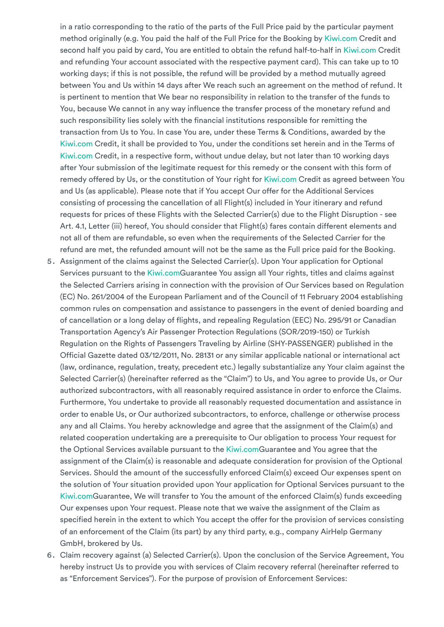in a ratio corresponding to the ratio of the parts of the Full Price paid by the particular payment method originally (e.g. You paid the half of the Full Price for the Booking by [Kiwi.com](https://www.kiwi.com/en/) Credit and second half you paid by card, You are entitled to obtain the refund half-to-half in [Kiwi.com](https://www.kiwi.com/en/) Credit and refunding Your account associated with the respective payment card). This can take up to 10 working days; if this is not possible, the refund will be provided by a method mutually agreed between You and Us within 14 days after We reach such an agreement on the method of refund. It is pertinent to mention that We bear no responsibility in relation to the transfer of the funds to You, because We cannot in any way influence the transfer process of the monetary refund and such responsibility lies solely with the financial institutions responsible for remitting the transaction from Us to You. In case You are, under these Terms & Conditions, awarded by the [Kiwi.com](https://www.kiwi.com/en/) Credit, it shall be provided to You, under the conditions set herein and in the Terms of [Kiwi.com](https://www.kiwi.com/en/) Credit, in a respective form, without undue delay, but not later than 10 working days after Your submission of the legitimate request for this remedy or the consent with this form of remedy offered by Us, or the constitution of Your right for [Kiwi.com](https://www.kiwi.com/en/) Credit as agreed between You and Us (as applicable). Please note that if You accept Our offer for the Additional Services consisting of processing the cancellation of all Flight(s) included in Your itinerary and refund requests for prices of these Flights with the Selected Carrier(s) due to the Flight Disruption - see Art. 4.1, Letter (iii) hereof, You should consider that Flight(s) fares contain different elements and not all of them are refundable, so even when the requirements of the Selected Carrier for the refund are met, the refunded amount will not be the same as the Full price paid for the Booking.

- 5. Assignment of the claims against the Selected Carrier(s). Upon Your application for Optional Services pursuant to the [Kiwi.com](https://www.kiwi.com/en/)Guarantee You assign all Your rights, titles and claims against the Selected Carriers arising in connection with the provision of Our Services based on Regulation (EC) No. 261/2004 of the European Parliament and of the Council of 11 February 2004 establishing common rules on compensation and assistance to passengers in the event of denied boarding and of cancellation or a long delay of flights, and repealing Regulation (EEC) No. 295/91 or Canadian Transportation Agency's Air Passenger Protection Regulations (SOR/2019-150) or Turkish Regulation on the Rights of Passengers Traveling by Airline (SHY-PASSENGER) published in the Official Gazette dated 03/12/2011, No. 28131 or any similar applicable national or international act (law, ordinance, regulation, treaty, precedent etc.) legally substantialize any Your claim against the Selected Carrier(s) (hereinafter referred as the "Claim") to Us, and You agree to provide Us, or Our authorized subcontractors, with all reasonably required assistance in order to enforce the Claims. Furthermore, You undertake to provide all reasonably requested documentation and assistance in order to enable Us, or Our authorized subcontractors, to enforce, challenge or otherwise process any and all Claims. You hereby acknowledge and agree that the assignment of the Claim(s) and related cooperation undertaking are a prerequisite to Our obligation to process Your request for the Optional Services available pursuant to the [Kiwi.comG](https://www.kiwi.com/en/)uarantee and You agree that the assignment of the Claim(s) is reasonable and adequate consideration for provision of the Optional Services. Should the amount of the successfully enforced Claim(s) exceed Our expenses spent on the solution of Your situation provided upon Your application for Optional Services pursuant to the [Kiwi.comG](https://www.kiwi.com/en/)uarantee, We will transfer to You the amount of the enforced Claim(s) funds exceeding Our expenses upon Your request. Please note that we waive the assignment of the Claim as specified herein in the extent to which You accept the offer for the provision of services consisting of an enforcement of the Claim (its part) by any third party, e.g., company AirHelp Germany GmbH, brokered by Us.
- 6. Claim recovery against (a) Selected Carrier(s). Upon the conclusion of the Service Agreement, You hereby instruct Us to provide you with services of Claim recovery referral (hereinafter referred to as "Enforcement Services"). For the purpose of provision of Enforcement Services: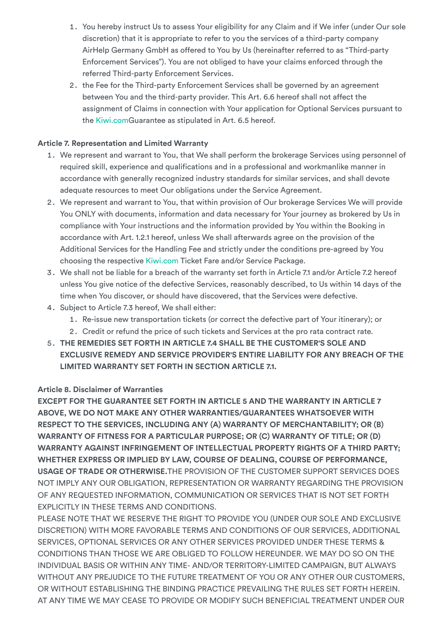- 1. You hereby instruct Us to assess Your eligibility for any Claim and if We infer (under Our sole discretion) that it is appropriate to refer to you the services of a third-party company AirHelp Germany GmbH as offered to You by Us (hereinafter referred to as "Third-party Enforcement Services"). You are not obliged to have your claims enforced through the referred Third-party Enforcement Services.
- 2. the Fee for the Third-party Enforcement Services shall be governed by an agreement between You and the third-party provider. This Art. 6.6 hereof shall not affect the assignment of Claims in connection with Your application for Optional Services pursuant to the [Kiwi.comG](https://www.kiwi.com/en/)uarantee as stipulated in Art. 6.5 hereof.

## <span id="page-24-0"></span>**Article 7. Representation and Limited Warranty**

- 1. We represent and warrant to You, that We shall perform the brokerage Services using personnel of required skill, experience and qualifications and in a professional and workmanlike manner in accordance with generally recognized industry standards for similar services, and shall devote adequate resources to meet Our obligations under the Service Agreement.
- 2. We represent and warrant to You, that within provision of Our brokerage Services We will provide You ONLY with documents, information and data necessary for Your journey as brokered by Us in compliance with Your instructions and the information provided by You within the Booking in accordance with Art. 1.2.1 hereof, unless We shall afterwards agree on the provision of the Additional Services for the Handling Fee and strictly under the conditions pre-agreed by You choosing the respective [Kiwi.com](https://www.kiwi.com/en/) Ticket Fare and/or Service Package.
- 3. We shall not be liable for a breach of the warranty set forth in Article 7.1 and/or Article 7.2 hereof unless You give notice of the defective Services, reasonably described, to Us within 14 days of the time when You discover, or should have discovered, that the Services were defective.
- 4. Subject to Article 7.3 hereof, We shall either:
	- 1. Re-issue new transportation tickets (or correct the defective part of Your itinerary); or
	- 2. Credit or refund the price of such tickets and Services at the pro rata contract rate.
- 5. **THE REMEDIES SET FORTH IN ARTICLE 7.4 SHALL BE THE CUSTOMER'S SOLE AND EXCLUSIVE REMEDY AND SERVICE PROVIDER'S ENTIRE LIABILITY FOR ANY BREACH OF THE LIMITED WARRANTY SET FORTH IN SECTION ARTICLE 7.1.**

## <span id="page-24-1"></span>**Article 8. Disclaimer of Warranties**

**EXCEPT FOR THE GUARANTEE SET FORTH IN ARTICLE 5 AND THE WARRANTY IN ARTICLE 7 ABOVE, WE DO NOT MAKE ANY OTHER WARRANTIES/GUARANTEES WHATSOEVER WITH RESPECT TO THE SERVICES, INCLUDING ANY (A) WARRANTY OF MERCHANTABILITY; OR (B) WARRANTY OF FITNESS FOR A PARTICULAR PURPOSE; OR (C) WARRANTY OF TITLE; OR (D) WARRANTY AGAINST INFRINGEMENT OF INTELLECTUAL PROPERTY RIGHTS OF A THIRD PARTY; WHETHER EXPRESS OR IMPLIED BY LAW, COURSE OF DEALING, COURSE OF PERFORMANCE, USAGE OF TRADE OR OTHERWISE.**THE PROVISION OF THE CUSTOMER SUPPORT SERVICES DOES NOT IMPLY ANY OUR OBLIGATION, REPRESENTATION OR WARRANTY REGARDING THE PROVISION OF ANY REQUESTED INFORMATION, COMMUNICATION OR SERVICES THAT IS NOT SET FORTH EXPLICITLY IN THESE TERMS AND CONDITIONS.

PLEASE NOTE THAT WE RESERVE THE RIGHT TO PROVIDE YOU (UNDER OUR SOLE AND EXCLUSIVE DISCRETION) WITH MORE FAVORABLE TERMS AND CONDITIONS OF OUR SERVICES, ADDITIONAL SERVICES, OPTIONAL SERVICES OR ANY OTHER SERVICES PROVIDED UNDER THESE TERMS & CONDITIONS THAN THOSE WE ARE OBLIGED TO FOLLOW HEREUNDER. WE MAY DO SO ON THE INDIVIDUAL BASIS OR WITHIN ANY TIME- AND/OR TERRITORY-LIMITED CAMPAIGN, BUT ALWAYS WITHOUT ANY PREJUDICE TO THE FUTURE TREATMENT OF YOU OR ANY OTHER OUR CUSTOMERS, OR WITHOUT ESTABLISHING THE BINDING PRACTICE PREVAILING THE RULES SET FORTH HEREIN. AT ANY TIME WE MAY CEASE TO PROVIDE OR MODIFY SUCH BENEFICIAL TREATMENT UNDER OUR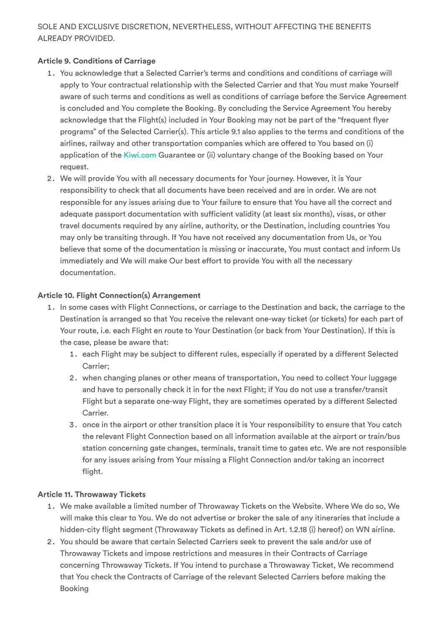## SOLE AND EXCLUSIVE DISCRETION, NEVERTHELESS, WITHOUT AFFECTING THE BENEFITS ALREADY PROVIDED.

## <span id="page-25-0"></span>**Article 9. Conditions of Carriage**

- 1. You acknowledge that a Selected Carrier's terms and conditions and conditions of carriage will apply to Your contractual relationship with the Selected Carrier and that You must make Yourself aware of such terms and conditions as well as conditions of carriage before the Service Agreement is concluded and You complete the Booking. By concluding the Service Agreement You hereby acknowledge that the Flight(s) included in Your Booking may not be part of the "frequent flyer programs" of the Selected Carrier(s). This article 9.1 also applies to the terms and conditions of the airlines, railway and other transportation companies which are offered to You based on (i) application of the [Kiwi.com](https://www.kiwi.com/en/) Guarantee or (ii) voluntary change of the Booking based on Your request.
- 2. We will provide You with all necessary documents for Your journey. However, it is Your responsibility to check that all documents have been received and are in order. We are not responsible for any issues arising due to Your failure to ensure that You have all the correct and adequate passport documentation with sufficient validity (at least six months), visas, or other travel documents required by any airline, authority, or the Destination, including countries You may only be transiting through. If You have not received any documentation from Us, or You believe that some of the documentation is missing or inaccurate, You must contact and inform Us immediately and We will make Our best effort to provide You with all the necessary documentation.

## <span id="page-25-1"></span>**Article 10. Flight Connection(s) Arrangement**

- 1. In some cases with Flight Connections, or carriage to the Destination and back, the carriage to the Destination is arranged so that You receive the relevant one-way ticket (or tickets) for each part of Your route, i.e. each Flight en route to Your Destination (or back from Your Destination). If this is the case, please be aware that:
	- 1. each Flight may be subject to different rules, especially if operated by a different Selected Carrier;
	- 2. when changing planes or other means of transportation, You need to collect Your luggage and have to personally check it in for the next Flight; if You do not use a transfer/transit Flight but a separate one-way Flight, they are sometimes operated by a different Selected Carrier.
	- 3. once in the airport or other transition place it is Your responsibility to ensure that You catch the relevant Flight Connection based on all information available at the airport or train/bus station concerning gate changes, terminals, transit time to gates etc. We are not responsible for any issues arising from Your missing a Flight Connection and/or taking an incorrect flight.

## <span id="page-25-2"></span>**Article 11. Throwaway Tickets**

- 1. We make available a limited number of Throwaway Tickets on the Website. Where We do so, We will make this clear to You. We do not advertise or broker the sale of any itineraries that include a hidden-city flight segment (Throwaway Tickets as defined in Art. 1.2.18 (i) hereof) on WN airline.
- 2. You should be aware that certain Selected Carriers seek to prevent the sale and/or use of Throwaway Tickets and impose restrictions and measures in their Contracts of Carriage concerning Throwaway Tickets. If You intend to purchase a Throwaway Ticket, We recommend that You check the Contracts of Carriage of the relevant Selected Carriers before making the Booking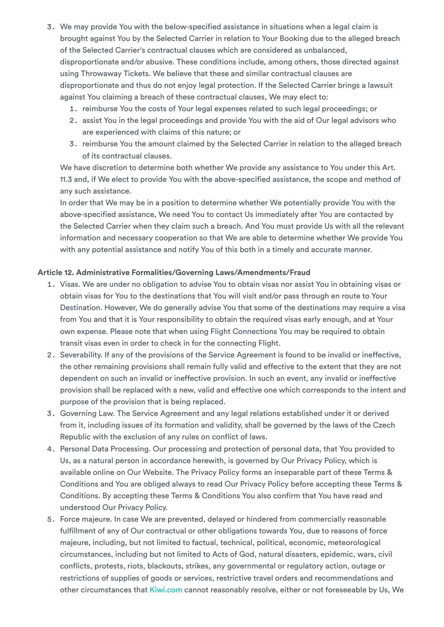- 3. We may provide You with the below-specified assistance in situations when a legal claim is brought against You by the Selected Carrier in relation to Your Booking due to the alleged breach of the Selected Carrier's contractual clauses which are considered as unbalanced, disproportionate and/or abusive. These conditions include, among others, those directed against using Throwaway Tickets. We believe that these and similar contractual clauses are disproportionate and thus do not enjoy legal protection. If the Selected Carrier brings a lawsuit against You claiming a breach of these contractual clauses, We may elect to:
	- 1. reimburse You the costs of Your legal expenses related to such legal proceedings; or
	- 2. assist You in the legal proceedings and provide You with the aid of Our legal advisors who are experienced with claims of this nature; or
	- 3. reimburse You the amount claimed by the Selected Carrier in relation to the alleged breach of its contractual clauses.

We have discretion to determine both whether We provide any assistance to You under this Art. 11.3 and, if We elect to provide You with the above-specified assistance, the scope and method of any such assistance.

In order that We may be in a position to determine whether We potentially provide You with the above-specified assistance, We need You to contact Us immediately after You are contacted by the Selected Carrier when they claim such a breach. And You must provide Us with all the relevant information and necessary cooperation so that We are able to determine whether We provide You with any potential assistance and notify You of this both in a timely and accurate manner.

## <span id="page-26-0"></span>**Article 12. Administrative Formalities/Governing Laws/Amendments/Fraud**

- 1. Visas. We are under no obligation to advise You to obtain visas nor assist You in obtaining visas or obtain visas for You to the destinations that You will visit and/or pass through en route to Your Destination. However, We do generally advise You that some of the destinations may require a visa from You and that it is Your responsibility to obtain the required visas early enough, and at Your own expense. Please note that when using Flight Connections You may be required to obtain transit visas even in order to check in for the connecting Flight.
- 2. Severability. If any of the provisions of the Service Agreement is found to be invalid or ineffective, the other remaining provisions shall remain fully valid and effective to the extent that they are not dependent on such an invalid or ineffective provision. In such an event, any invalid or ineffective provision shall be replaced with a new, valid and effective one which corresponds to the intent and purpose of the provision that is being replaced.
- 3. Governing Law. The Service Agreement and any legal relations established under it or derived from it, including issues of its formation and validity, shall be governed by the laws of the Czech Republic with the exclusion of any rules on conflict of laws.
- 4. Personal Data Processing. Our processing and protection of personal data, that You provided to Us, as a natural person in accordance herewith, is governed by Our Privacy Policy, which is available online on Our Website. The Privacy Policy forms an inseparable part of these Terms & Conditions and You are obliged always to read Our Privacy Policy before accepting these Terms & Conditions. By accepting these Terms & Conditions You also confirm that You have read and understood Our Privacy Policy.
- 5. Force majeure. In case We are prevented, delayed or hindered from commercially reasonable fulfillment of any of Our contractual or other obligations towards You, due to reasons of force majeure, including, but not limited to factual, technical, political, economic, meteorological circumstances, including but not limited to Acts of God, natural disasters, epidemic, wars, civil conflicts, protests, riots, blackouts, strikes, any governmental or regulatory action, outage or restrictions of supplies of goods or services, restrictive travel orders and recommendations and other circumstances that [Kiwi.com](https://www.kiwi.com/en/) cannot reasonably resolve, either or not foreseeable by Us, We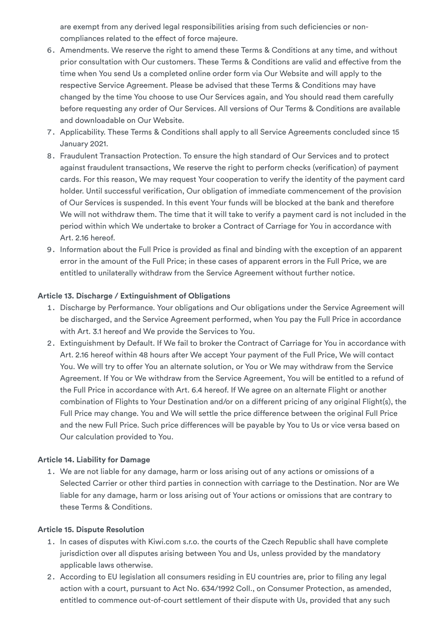are exempt from any derived legal responsibilities arising from such deficiencies or noncompliances related to the effect of force majeure.

- 6. Amendments. We reserve the right to amend these Terms & Conditions at any time, and without prior consultation with Our customers. These Terms & Conditions are valid and effective from the time when You send Us a completed online order form via Our Website and will apply to the respective Service Agreement. Please be advised that these Terms & Conditions may have changed by the time You choose to use Our Services again, and You should read them carefully before requesting any order of Our Services. All versions of Our Terms & Conditions are available and downloadable on Our Website.
- 7. Applicability. These Terms & Conditions shall apply to all Service Agreements concluded since 15 January 2021.
- 8. Fraudulent Transaction Protection. To ensure the high standard of Our Services and to protect against fraudulent transactions, We reserve the right to perform checks (verification) of payment cards. For this reason, We may request Your cooperation to verify the identity of the payment card holder. Until successful verification, Our obligation of immediate commencement of the provision of Our Services is suspended. In this event Your funds will be blocked at the bank and therefore We will not withdraw them. The time that it will take to verify a payment card is not included in the period within which We undertake to broker a Contract of Carriage for You in accordance with Art. 2.16 hereof.
- 9. Information about the Full Price is provided as final and binding with the exception of an apparent error in the amount of the Full Price; in these cases of apparent errors in the Full Price, we are entitled to unilaterally withdraw from the Service Agreement without further notice.

## <span id="page-27-0"></span>**Article 13. Discharge / Extinguishment of Obligations**

- 1. Discharge by Performance. Your obligations and Our obligations under the Service Agreement will be discharged, and the Service Agreement performed, when You pay the Full Price in accordance with Art. 3.1 hereof and We provide the Services to You.
- 2. Extinguishment by Default. If We fail to broker the Contract of Carriage for You in accordance with Art. 2.16 hereof within 48 hours after We accept Your payment of the Full Price, We will contact You. We will try to offer You an alternate solution, or You or We may withdraw from the Service Agreement. If You or We withdraw from the Service Agreement, You will be entitled to a refund of the Full Price in accordance with Art. 6.4 hereof. If We agree on an alternate Flight or another combination of Flights to Your Destination and/or on a different pricing of any original Flight(s), the Full Price may change. You and We will settle the price difference between the original Full Price and the new Full Price. Such price differences will be payable by You to Us or vice versa based on Our calculation provided to You.

#### <span id="page-27-1"></span>**Article 14. Liability for Damage**

1. We are not liable for any damage, harm or loss arising out of any actions or omissions of a Selected Carrier or other third parties in connection with carriage to the Destination. Nor are We liable for any damage, harm or loss arising out of Your actions or omissions that are contrary to these Terms & Conditions.

#### <span id="page-27-2"></span>**Article 15. Dispute Resolution**

- 1. In cases of disputes with Kiwi.com s.r.o. the courts of the Czech Republic shall have complete jurisdiction over all disputes arising between You and Us, unless provided by the mandatory applicable laws otherwise.
- 2. According to EU legislation all consumers residing in EU countries are, prior to filing any legal action with a court, pursuant to Act No. 634/1992 Coll., on Consumer Protection, as amended, entitled to commence out-of-court settlement of their dispute with Us, provided that any such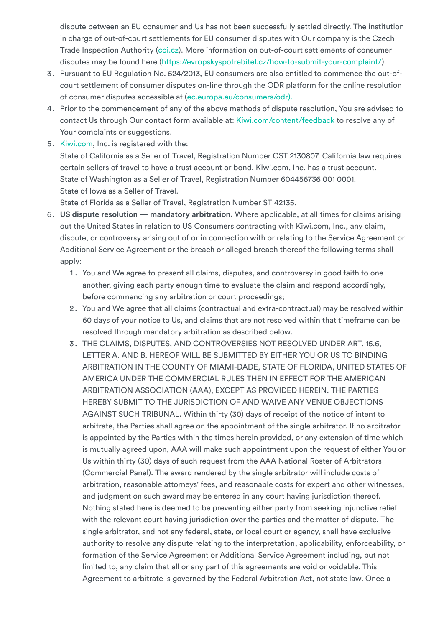dispute between an EU consumer and Us has not been successfully settled directly. The institution in charge of out-of-court settlements for EU consumer disputes with Our company is the Czech Trade Inspection Authority [\(coi.cz\)](https://www.coi.cz/). More information on out-of-court settlements of consumer disputes may be found here ([https://evropskyspotrebitel.cz/how-to-submit-your-complaint/\)](https://evropskyspotrebitel.cz/how-to-submit-your-complaint/).

- 3. Pursuant to EU Regulation No. 524/2013, EU consumers are also entitled to commence the out-ofcourt settlement of consumer disputes on-line through the ODR platform for the online resolution of consumer disputes accessible at ([ec.europa.eu/consumers/odr\).](http://ec.europa.eu/consumers/odr/)
- 4. Prior to the commencement of any of the above methods of dispute resolution, You are advised to contact Us through Our contact form available at: [Kiwi.com/content/feedback](https://www.kiwi.com/en/content/feedback) to resolve any of Your complaints or suggestions.
- 5. [Kiwi.com,](https://www.kiwi.com/en/) Inc. is registered with the: State of California as a Seller of Travel, Registration Number CST 2130807. California law requires certain sellers of travel to have a trust account or bond. Kiwi.com, Inc. has a trust account. State of Washington as a Seller of Travel, Registration Number 604456736 001 0001. State of Iowa as a Seller of Travel.

State of Florida as a Seller of Travel, Registration Number ST 42135.

- 6. **US dispute resolution — mandatory arbitration.** Where applicable, at all times for claims arising out the United States in relation to US Consumers contracting with Kiwi.com, Inc., any claim, dispute, or controversy arising out of or in connection with or relating to the Service Agreement or Additional Service Agreement or the breach or alleged breach thereof the following terms shall apply:
	- 1. You and We agree to present all claims, disputes, and controversy in good faith to one another, giving each party enough time to evaluate the claim and respond accordingly, before commencing any arbitration or court proceedings;
	- 2. You and We agree that all claims (contractual and extra-contractual) may be resolved within 60 days of your notice to Us, and claims that are not resolved within that timeframe can be resolved through mandatory arbitration as described below.
	- 3. THE CLAIMS, DISPUTES, AND CONTROVERSIES NOT RESOLVED UNDER ART. 15.6, LETTER A. AND B. HEREOF WILL BE SUBMITTED BY EITHER YOU OR US TO BINDING ARBITRATION IN THE COUNTY OF MIAMI-DADE, STATE OF FLORIDA, UNITED STATES OF AMERICA UNDER THE COMMERCIAL RULES THEN IN EFFECT FOR THE AMERICAN ARBITRATION ASSOCIATION (AAA), EXCEPT AS PROVIDED HEREIN. THE PARTIES HEREBY SUBMIT TO THE JURISDICTION OF AND WAIVE ANY VENUE OBJECTIONS AGAINST SUCH TRIBUNAL. Within thirty (30) days of receipt of the notice of intent to arbitrate, the Parties shall agree on the appointment of the single arbitrator. If no arbitrator is appointed by the Parties within the times herein provided, or any extension of time which is mutually agreed upon, AAA will make such appointment upon the request of either You or Us within thirty (30) days of such request from the AAA National Roster of Arbitrators (Commercial Panel). The award rendered by the single arbitrator will include costs of arbitration, reasonable attorneys' fees, and reasonable costs for expert and other witnesses, and judgment on such award may be entered in any court having jurisdiction thereof. Nothing stated here is deemed to be preventing either party from seeking injunctive relief with the relevant court having jurisdiction over the parties and the matter of dispute. The single arbitrator, and not any federal, state, or local court or agency, shall have exclusive authority to resolve any dispute relating to the interpretation, applicability, enforceability, or formation of the Service Agreement or Additional Service Agreement including, but not limited to, any claim that all or any part of this agreements are void or voidable. This Agreement to arbitrate is governed by the Federal Arbitration Act, not state law. Once a